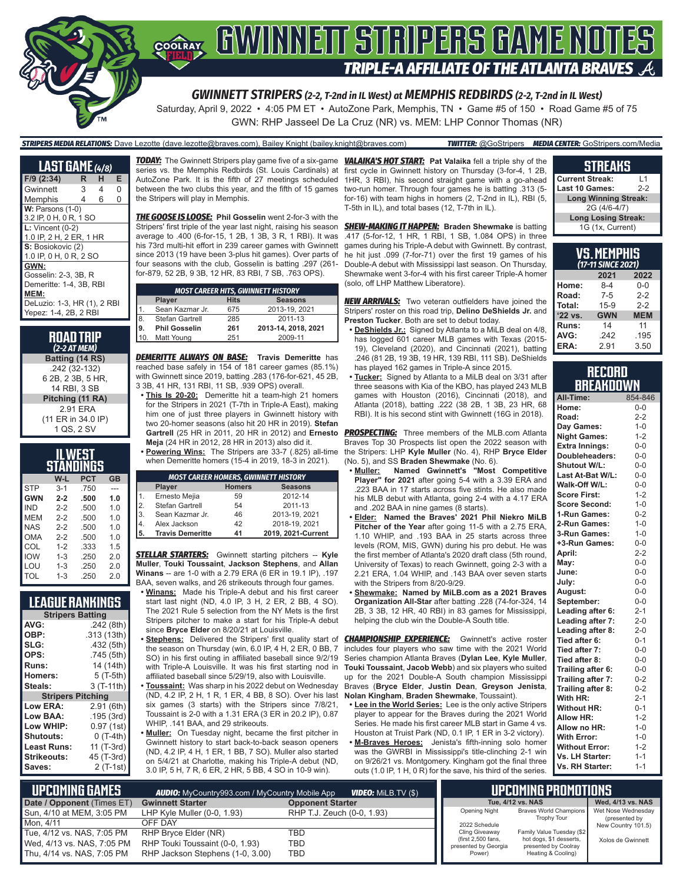

Saturday, April 9, 2022 • 4:05 PM ET • AutoZone Park, Memphis, TN • Game #5 of 150 • Road Game #5 of 75 GWN: RHP Jasseel De La Cruz (NR) vs. MEM: LHP Connor Thomas (NR)

#### *STRIPERS MEDIA RELATIONS:* Dave Lezotte (dave.lezotte@braves.com), Bailey Knight (bailey.knight@braves.com) *TWITTER:* @GoStripers *MEDIA CENTER:* GoStripers.com/Media

| <b>LAST GAME</b> (4/8)      |   |   |   |
|-----------------------------|---|---|---|
| $F/9$ (2:34)                | R | н | E |
| Gwinnett                    | 3 | 4 | 0 |
| Memphis                     | 4 | 6 | 0 |
| $W:$ Parsons (1-0)          |   |   |   |
| 3.2 IP, 0 H, 0 R, 1 SO      |   |   |   |
| $L:$ Vincent $(0-2)$        |   |   |   |
| 1.0 IP, 2 H, 2 ER, 1 HR     |   |   |   |
| S: Bosiokovic (2)           |   |   |   |
| 1.0 IP, 0 H, 0 R, 2 SO      |   |   |   |
| GWN:                        |   |   |   |
| Gosselin: 2-3, 3B, R        |   |   |   |
| Demeritte: 1-4, 3B, RBI     |   |   |   |
| MEM:                        |   |   |   |
| DeLuzio: 1-3, HR (1), 2 RBI |   |   |   |
| Yepez: 1-4, 2B, 2 RBI       |   |   |   |

| <b>ROAD TRIP</b><br>$(2-2ATMEM)$ |
|----------------------------------|
| Batting (14 RS)                  |
| .242 (32-132)                    |
| 6 2B, 2 3B, 5 HR,                |
| 14 RBI, 3 SB                     |
| Pitching (11 RA)                 |
| 2.91 ERA                         |
| (11 ER in 34.0 IP)               |
| 1 QS, 2 SV                       |

| WEST       |         |            |     |
|------------|---------|------------|-----|
|            |         | STANDINGS  |     |
|            | W-L     | <b>PCT</b> | GB  |
| <b>STP</b> | $3 - 1$ | .750       |     |
| <b>GWN</b> | $2 - 2$ | .500       | 1.0 |
| <b>IND</b> | $2 - 2$ | .500       | 1.0 |
| MFM        | $2 - 2$ | .500       | 1.0 |
| NAS        | $2 - 2$ | .500       | 1.0 |
| OMA        | $2 - 2$ | .500       | 1.0 |
| COL        | $1 - 2$ | .333       | 1.5 |
| <b>IOW</b> | $1 - 3$ | .250       | 2.0 |
| LOU        | $1 - 3$ | .250       | 2.0 |
| TOL        | $1 - 3$ | .250       | 2.0 |

| League Rankings          |             |  |  |
|--------------------------|-------------|--|--|
| <b>Stripers Batting</b>  |             |  |  |
| AVG:                     | .242 (8th)  |  |  |
| OBP:                     | .313 (13th) |  |  |
| SLG:                     | .432 (5th)  |  |  |
| OPS:                     | .745 (5th)  |  |  |
| <b>Runs:</b>             | 14 (14th)   |  |  |
| <b>Homers:</b>           | 5 (T-5th)   |  |  |
| Steals:                  | 3 (T-11th)  |  |  |
| <b>Stripers Pitching</b> |             |  |  |
| <b>Low ERA:</b>          | 2.91 (6th)  |  |  |
| Low BAA:                 | .195 (3rd)  |  |  |
| Low WHIP:                | 0.97 (1st)  |  |  |
| <b>Shutouts:</b>         | 0 (T-4th)   |  |  |
| <b>Least Runs:</b>       | 11 (T-3rd)  |  |  |
| Strikeouts:              | 45 (T-3rd)  |  |  |
| Saves:                   | 2 (T-1st)   |  |  |

*TODAY:* The Gwinnett Stripers play game five of a six-game *VALAIKA'S HOT START:* **Pat Valaika** fell a triple shy of the series vs. the Memphis Redbirds (St. Louis Cardinals) at AutoZone Park. It is the fifth of 27 meetings scheduled between the two clubs this year, and the fifth of 15 games the Stripers will play in Memphis.

*THE GOOSE IS LOOSE:* **Phil Gosselin** went 2-for-3 with the Stripers' first triple of the year last night, raising his season average to .400 (6-for-15, 1 2B, 1 3B, 3 R, 1 RBI). It was his 73rd multi-hit effort in 239 career games with Gwinnett since 2013 (19 have been 3-plus hit games). Over parts of four seasons with the club, Gosselin is batting .297 (261 for-879, 52 2B, 9 3B, 12 HR, 83 RBI, 7 SB, .763 OPS).

| <b>MOST CAREER HITS, GWINNETT HISTORY</b> |                      |             |                     |  |
|-------------------------------------------|----------------------|-------------|---------------------|--|
|                                           | Player               | <b>Hits</b> | <b>Seasons</b>      |  |
| $\mathbf 1$                               | Sean Kazmar Jr.      | 675         | 2013-19, 2021       |  |
| 8.                                        | Stefan Gartrell      | 285         | 2011-13             |  |
| 9.                                        | <b>Phil Gosselin</b> | 261         | 2013-14. 2018. 2021 |  |
| 10.                                       | Matt Young           | 251         | 2009-11             |  |

*DEMERITTE ALWAYS ON BASE:* **Travis Demeritte** has reached base safely in 154 of 181 career games (85.1%) with Gwinnett since 2019, batting .283 (176-for-621, 45 2B, 3 3B, 41 HR, 131 RBI, 11 SB, .939 OPS) overall.

**• This Is 20-20:** Demeritte hit a team-high 21 homers for the Stripers in 2021 (T-7th in Triple-A East), making him one of just three players in Gwinnett history with two 20-homer seasons (also hit 20 HR in 2019). **Stefan Meja** (24 HR in 2012, 28 HR in 2013) also did it.

**• Powering Wins:** The Stripers are 33-7 (.825) all-time when Demeritte homers (15-4 in 2019, 18-3 in 2021).

| <b>MOST CAREER HOMERS, GWINNETT HISTORY</b> |                         |               |                    |
|---------------------------------------------|-------------------------|---------------|--------------------|
|                                             | Player                  | <b>Homers</b> | <b>Seasons</b>     |
|                                             | Ernesto Mejia           | 59            | 2012-14            |
| 2.                                          | Stefan Gartrell         | 54            | 2011-13            |
| 3.                                          | Sean Kazmar Jr.         | 46            | 2013-19, 2021      |
| 14.                                         | Alex Jackson            | 42            | 2018-19, 2021      |
| 15.                                         | <b>Travis Demeritte</b> | 41            | 2019, 2021-Current |

*STELLAR STARTERS:* Gwinnett starting pitchers -- **Kyle Muller**, **Touki Toussaint**, **Jackson Stephens**, and **Allan Winans** -- are 1-0 with a 2.79 ERA (6 ER in 19.1 IP), .197 BAA, seven walks, and 26 strikeouts through four games.

- **• Winans:** Made his Triple-A debut and his first career start last night (ND, 4.0 IP, 3 H, 2 ER, 2 BB, 4 SO). The 2021 Rule 5 selection from the NY Mets is the first Stripers pitcher to make a start for his Triple-A debut since **Bryce Elder** on 8/20/21 at Louisville.
- **• Stephens:** Delivered the Stripers' first quality start of the season on Thursday (win, 6.0 IP, 4 H, 2 ER, 0 BB, 7 SO) in his first outing in affiliated baseball since 9/2/19 with Triple-A Louisville. It was his first starting nod in affiliated baseball since 5/29/19, also with Louisville.
- **• Toussaint:** Was sharp in his 2022 debut on Wednesday (ND, 4.2 IP, 2 H, 1 R, 1 ER, 4 BB, 8 SO). Over his last six games (3 starts) with the Stripers since 7/8/21, Toussaint is 2-0 with a 1.31 ERA (3 ER in 20.2 IP), 0.87 WHIP, .141 BAA, and 29 strikeouts.
- **• Muller:** On Tuesday night, became the first pitcher in Gwinnett history to start back-to-back season openers (ND, 4.2 IP, 4 H, 1 ER, 1 BB, 7 SO). Muller also started on 5/4/21 at Charlotte, making his Triple-A debut (ND, 3.0 IP, 5 H, 7 R, 6 ER, 2 HR, 5 BB, 4 SO in 10-9 win).

first cycle in Gwinnett history on Thursday (3-for-4, 1 2B, 1HR, 3 RBI), his second straight game with a go-ahead two-run homer. Through four games he is batting .313 (5 for-16) with team highs in homers (2, T-2nd in IL), RBI (5, T-5th in IL), and total bases (12, T-7th in IL).

*SHEW-MAKING IT HAPPEN:* **Braden Shewmake** is batting .417 (5-for-12, 1 HR, 1 RBI, 1 SB, 1.084 OPS) in three games during his Triple-A debut with Gwinnett. By contrast, he hit just .099 (7-for-71) over the first 19 games of his Double-A debut with Mississippi last season. On Thursday, Shewmake went 3-for-4 with his first career Triple-A homer (solo, off LHP Matthew Liberatore).

**NEW ARRIVALS:** Two veteran outfielders have joined the Stripers' roster on this road trip, **Delino DeShields Jr.** and **Preston Tucker**. Both are set to debut today.

- **• DeShields Jr.:** Signed by Atlanta to a MiLB deal on 4/8, has logged 601 career MLB games with Texas (2015- 19), Cleveland (2020), and Cincinnati (2021), batting .246 (81 2B, 19 3B, 19 HR, 139 RBI, 111 SB). DeShields has played 162 games in Triple-A since 2015.
- **• Tucker:** Signed by Atlanta to a MiLB deal on 3/31 after three seasons with Kia of the KBO, has played 243 MLB games with Houston (2016), Cincinnati (2018), and Atlanta (2018), batting .222 (38 2B, 1 3B, 23 HR, 68 RBI). It is his second stint with Gwinnett (16G in 2018).

**Gartrell** (25 HR in 2011, 20 HR in 2012) and **Ernesto**  *PROSPECTING:* Three members of the MLB.com Atlanta Braves Top 30 Prospects list open the 2022 season with the Stripers: LHP **Kyle Muller** (No. 4), RHP **Bryce Elder** (No. 5), and SS **Braden Shewmake** (No. 6).

- **• Muller: Named Gwinnett's "Most Competitive Player" for 2021** after going 5-4 with a 3.39 ERA and .223 BAA in 17 starts across five stints. He also made his MLB debut with Atlanta, going 2-4 with a 4.17 ERA and .202 BAA in nine games (8 starts).
- **• Elder: Named the Braves' 2021 Phil Niekro MiLB Pitcher of the Year** after going 11-5 with a 2.75 ERA, 1.10 WHIP, and .193 BAA in 25 starts across three levels (ROM, MIS, GWN) during his pro debut. He was the first member of Atlanta's 2020 draft class (5th round, University of Texas) to reach Gwinnett, going 2-3 with a 2.21 ERA, 1.04 WHIP, and .143 BAA over seven starts with the Stripers from 8/20-9/29.
- **• Shewmake: Named by MiLB.com as a 2021 Braves Organization All-Star** after batting .228 (74-for-324, 14 2B, 3 3B, 12 HR, 40 RBI) in 83 games for Mississippi, helping the club win the Double-A South title.

**CHAMPIONSHIP EXPERIENCE:** Gwinnett's active roster includes four players who saw time with the 2021 World Series champion Atlanta Braves (**Dylan Lee**, **Kyle Muller**, **Touki Toussaint**, **Jacob Webb**) and six players who suited up for the 2021 Double-A South champion Mississippi Braves (**Bryce Elder**, **Justin Dean**, **Greyson Jenista**, **Nolan Kingham**, **Braden Shewmake**, Toussaint).

- **• Lee in the World Series:** Lee is the only active Stripers player to appear for the Braves during the 2021 World Series. He made his first career MLB start in Game 4 vs. Houston at Truist Park (ND, 0.1 IP, 1 ER in 3-2 victory).
- **• M-Braves Heroes:** Jenista's fifth-inning solo homer was the GWRBI in Mississippi's title-clinching 2-1 win on 9/26/21 vs. Montgomery. Kingham got the final three outs (1.0 IP, 1 H, 0 R) for the save, his third of the series.

| <b>STREAKS</b> |  |  |
|----------------|--|--|
|                |  |  |
|                |  |  |

| <b>Current Streak:</b>      | l 1   |  |
|-----------------------------|-------|--|
| <b>Last 10 Games:</b>       | $2-2$ |  |
| <b>Long Winning Streak:</b> |       |  |
| 2G (4/6-4/7)                |       |  |
| <b>Long Losing Streak:</b>  |       |  |
| 1G (1x, Current)            |       |  |

| VS.MEMPHIS<br>(17-11 SINCE 2021)    |         |         |  |
|-------------------------------------|---------|---------|--|
|                                     | 2021    | 2022    |  |
| Home:                               | $8-4$   | $0 - 0$ |  |
| Road:                               | $7 - 5$ | $2-2$   |  |
| Total:                              | $15-9$  | $2 - 2$ |  |
| '22 vs.<br><b>GWN</b><br><b>MEM</b> |         |         |  |
| Runs:                               | 14      | 11      |  |
| AVG:                                | .242    | .195    |  |
| ERA:                                | 2.91    | 3.50    |  |

#### **RECORD BREAKDOWN**

| All-Time:             | 854-846 |
|-----------------------|---------|
| Home:                 | $0 - 0$ |
| Road:                 | $2 - 2$ |
| Day Games:            | $1 - 0$ |
| <b>Night Games:</b>   | $1 - 2$ |
| <b>Extra Innings:</b> | $0 - 0$ |
| Doubleheaders:        | $0 - 0$ |
| Shutout W/L:          | $0 - 0$ |
| Last At-Bat W/L:      | $0 - 0$ |
| Walk-Off W/L:         | $0 - 0$ |
| <b>Score First:</b>   | $1 - 2$ |
| <b>Score Second:</b>  | $1 - 0$ |
| 1-Run Games:          | $0 - 2$ |
| 2-Run Games:          | $1 - 0$ |
| 3-Run Games:          | $1 - 0$ |
| +3-Run Games:         | $0 - 0$ |
| April:                | $2-2$   |
| May:                  | $0-0$   |
| June:                 | $0 - 0$ |
| July:                 | $0 - 0$ |
| August:               | $0-0$   |
| September:            | $0 - 0$ |
| Leading after 6:      | $2 - 1$ |
| Leading after 7:      | $2 - 0$ |
| Leading after 8:      | $2 - 0$ |
| Tied after 6:         | $0 - 1$ |
| Tied after 7:         | $0 - 0$ |
| Tied after 8:         | $0-0$   |
| Trailing after 6:     | $0 - 0$ |
| Trailing after 7:     | $0 - 2$ |
| Trailing after 8:     | $0 - 2$ |
| With HR:              | $2 - 1$ |
| <b>Without HR:</b>    | $0 - 1$ |
| <b>Allow HR:</b>      | $1 - 2$ |
| Allow no HR:          | $1 - 0$ |
| <b>With Error:</b>    | $1 - 0$ |
| <b>Without Error:</b> | $1 - 2$ |
| Vs. LH Starter:       | $1 - 1$ |
| Vs. RH Starter:       | $1 - 1$ |

| L UPCOMIÑG GAMES I         | <b>AUDIO:</b> MyCountry993.com / MyCountry Mobile App | <b>VIDEO:</b> MILB.TV (\$) |                                            | <b>IPCOMING PROMOTIONS</b>                      |                                     |
|----------------------------|-------------------------------------------------------|----------------------------|--------------------------------------------|-------------------------------------------------|-------------------------------------|
| Date / Opponent (Times ET) | <b>Gwinnett Starter</b>                               | <b>Opponent Starter</b>    |                                            | Tue, 4/12 vs. NAS                               | Wed, 4/13 vs. NAS                   |
| Sun, 4/10 at MEM, 3:05 PM  | LHP Kyle Muller $(0-0, 1.93)$                         | RHP T.J. Zeuch (0-0, 1.93) | <b>Opening Night</b>                       | Braves World Champions<br><b>Trophy Tour</b>    | Wet Nose Wednesday<br>(presented by |
| Mon. 4/11                  | OFF DAY                                               |                            | 2022 Schedule                              |                                                 | New Country 101.5)                  |
| Tue, 4/12 vs. NAS, 7:05 PM | RHP Bryce Elder (NR)                                  | TBD                        | Cling Giveaway                             | Family Value Tuesday (\$2                       |                                     |
| Wed, 4/13 vs. NAS, 7:05 PM | RHP Touki Toussaint (0-0, 1.93)                       | TBD                        | (first 2,500 fans,<br>presented by Georgia | hot dogs, \$1 desserts,<br>presented by Coolray | Xolos de Gwinnett                   |
| Thu, 4/14 vs. NAS, 7:05 PM | RHP Jackson Stephens (1-0, 3.00)                      | TBD                        | Power)                                     | Heating & Cooling)                              |                                     |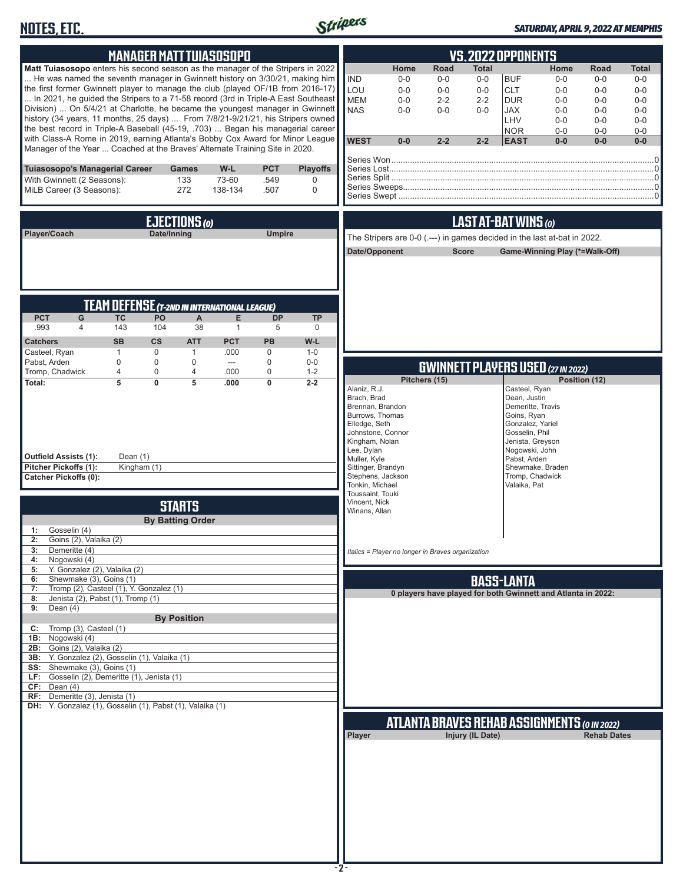## **NOTES, ETC.**



#### *SATURDAY, APRIL 9, 2022 AT MEMPHIS*

| <b>MANAGER MATT TUIASOSOPO</b>                                                                                                                                                                                                                                                                                                                                                                                                                                                                                                                                                                                                                                                                                                                                 | <b>VS.2022 OPPONENTS</b>                                                                                                                                                                                                                                                                                                                                                                                                                                                                                                                                                 |
|----------------------------------------------------------------------------------------------------------------------------------------------------------------------------------------------------------------------------------------------------------------------------------------------------------------------------------------------------------------------------------------------------------------------------------------------------------------------------------------------------------------------------------------------------------------------------------------------------------------------------------------------------------------------------------------------------------------------------------------------------------------|--------------------------------------------------------------------------------------------------------------------------------------------------------------------------------------------------------------------------------------------------------------------------------------------------------------------------------------------------------------------------------------------------------------------------------------------------------------------------------------------------------------------------------------------------------------------------|
| Matt Tuiasosopo enters his second season as the manager of the Stripers in 2022<br>He was named the seventh manager in Gwinnett history on 3/30/21, making him<br>the first former Gwinnett player to manage the club (played OF/1B from 2016-17)<br>In 2021, he guided the Stripers to a 71-58 record (3rd in Triple-A East Southeast<br>Division)  On 5/4/21 at Charlotte, he became the youngest manager in Gwinnett<br>history (34 years, 11 months, 25 days)  From 7/8/21-9/21/21, his Stripers owned<br>the best record in Triple-A Baseball (45-19, .703)  Began his managerial career<br>with Class-A Rome in 2019, earning Atlanta's Bobby Cox Award for Minor League<br>Manager of the Year  Coached at the Braves' Alternate Training Site in 2020. | Home<br>Road<br>Total<br>Home<br>Road<br>Total<br><b>IND</b><br><b>BUF</b><br>$0 - 0$<br>$0-0$<br>$0-0$<br>$0-0$<br>$0-0$<br>$0 - 0$<br>LOU<br><b>CLT</b><br>$0-0$<br>$0-0$<br>$0-0$<br>$0 - 0$<br>$0-0$<br>$0 - 0$<br><b>MEM</b><br>$2 - 2$<br><b>DUR</b><br>$0-0$<br>$0-0$<br>$2 - 2$<br>$0-0$<br>$0-0$<br><b>NAS</b><br>$0 - 0$<br>$0-0$<br><b>JAX</b><br>$0-0$<br>$0 - 0$<br>$0-0$<br>$0-0$<br>LHV<br>$0 - 0$<br>$0-0$<br>$0 - 0$<br><b>NOR</b><br>$0 - 0$<br>$0-0$<br>$0-0$<br><b>WEST</b><br>$0-0$<br>$2 - 2$<br>$2 - 2$<br><b>EAST</b><br>$0-0$<br>$0-0$<br>$0-0$ |
| Tuiasosopo's Managerial Career<br>W-L<br><b>PCT</b><br><b>Playoffs</b><br>Games<br>73-60<br>With Gwinnett (2 Seasons):<br>133<br>.549<br>0<br>272<br>MiLB Career (3 Seasons):<br>138-134<br>.507<br>$\mathbf 0$                                                                                                                                                                                                                                                                                                                                                                                                                                                                                                                                                |                                                                                                                                                                                                                                                                                                                                                                                                                                                                                                                                                                          |
| EJECTIONS (0)                                                                                                                                                                                                                                                                                                                                                                                                                                                                                                                                                                                                                                                                                                                                                  | LAST AT-BAT WINS (0)                                                                                                                                                                                                                                                                                                                                                                                                                                                                                                                                                     |
| Date/Inning<br><b>Umpire</b><br>Player/Coach                                                                                                                                                                                                                                                                                                                                                                                                                                                                                                                                                                                                                                                                                                                   | The Stripers are 0-0 ( .--- ) in games decided in the last at-bat in 2022.<br>Date/Opponent<br><b>Score</b><br>Game-Winning Play (*=Walk-Off)                                                                                                                                                                                                                                                                                                                                                                                                                            |
| <b>TEAM DEFENSE (T-2ND IN INTERNATIONAL LEAGUE)</b><br><b>PCT</b><br><b>TC</b><br>PO<br>A<br>E<br>G<br><b>DP</b><br><b>TP</b><br>143<br>.993<br>$\overline{4}$<br>104<br>38<br>$\mathbf{1}$<br>5<br>$\mathbf 0$<br><b>SB</b><br>$\mathsf{cs}$<br><b>ATT</b><br><b>PCT</b><br><b>PB</b><br>W-L<br><b>Catchers</b><br>Casteel, Ryan<br>$\mathbf{1}$<br>$\mathbf 0$<br>$\mathbf{1}$<br>.000<br>0<br>$1 - 0$                                                                                                                                                                                                                                                                                                                                                       |                                                                                                                                                                                                                                                                                                                                                                                                                                                                                                                                                                          |
| Pabst, Arden<br>$\mathbf 0$<br>$\mathbf 0$<br>0<br>$0-0$<br>0<br>$---$<br>Tromp, Chadwick<br>.000<br>$\mathbf 0$<br>4<br>0<br>4<br>$1 - 2$<br>$\overline{5}$<br>$\overline{0}$<br>$\overline{5}$<br>$\overline{0}$<br>Total:<br>$2 - 2$<br>.000<br><b>Outfield Assists (1):</b><br>Dean (1)<br>Pitcher Pickoffs (1):<br>Kingham (1)<br><b>Catcher Pickoffs (0):</b>                                                                                                                                                                                                                                                                                                                                                                                            | <b>GWINNETT PLAYERS USED (27 IN 2022)</b><br>Pitchers (15)<br>Position (12)<br>Alaniz, R.J.<br>Casteel, Ryan<br>Brach, Brad<br>Dean, Justin<br>Brennan, Brandon<br>Demeritte, Travis<br>Burrows, Thomas<br>Goins, Ryan<br>Elledge, Seth<br>Gonzalez, Yariel<br>Johnstone, Connor<br>Gosselin, Phil<br>Kingham, Nolan<br>Jenista, Greyson<br>Lee, Dylan<br>Nogowski, John<br>Pabst, Arden<br>Muller, Kyle<br>Sittinger, Brandyn<br>Shewmake, Braden<br>Stephens, Jackson<br>Tromp, Chadwick<br>Tonkin, Michael<br>Valaika, Pat                                            |
| <b>STARTS</b><br><b>By Batting Order</b><br>1: Gosselin (4)<br>2: Goins (2), Valaika (2)<br>3:<br>Demeritte (4)<br>Nogowski (4)<br>4:<br>Y. Gonzalez (2), Valaika (2)<br>5:                                                                                                                                                                                                                                                                                                                                                                                                                                                                                                                                                                                    | Toussaint, Touki<br>Vincent, Nick<br>Winans, Allan<br>Italics = Player no longer in Braves organization                                                                                                                                                                                                                                                                                                                                                                                                                                                                  |
| Shewmake (3), Goins (1)<br>6:<br>Tromp (2), Casteel (1), Y. Gonzalez (1)<br>7:<br>Jenista (2), Pabst (1), Tromp (1)<br>8:<br>Dean $(4)$<br>9:<br><b>By Position</b><br>Tromp (3), Casteel (1)<br>C:                                                                                                                                                                                                                                                                                                                                                                                                                                                                                                                                                            | <b>BASS-LANTA</b><br>0 players have played for both Gwinnett and Atlanta in 2022:                                                                                                                                                                                                                                                                                                                                                                                                                                                                                        |
| 1B: Nogowski (4)<br>2B: Goins (2), Valaika (2)<br>3B: Y. Gonzalez (2), Gosselin (1), Valaika (1)<br>SS: Shewmake (3), Goins (1)<br>LF: Gosselin (2), Demeritte (1), Jenista (1)<br>CF: Dean(4)<br>RF: Demeritte (3), Jenista (1)<br>DH: Y. Gonzalez (1), Gosselin (1), Pabst (1), Valaika (1)                                                                                                                                                                                                                                                                                                                                                                                                                                                                  | <b>ATLANTA BRAVES REHAB ASSIGNMENTS (O IN 2022)</b><br>Injury (IL Date)<br>Player<br><b>Rehab Dates</b><br>-2-                                                                                                                                                                                                                                                                                                                                                                                                                                                           |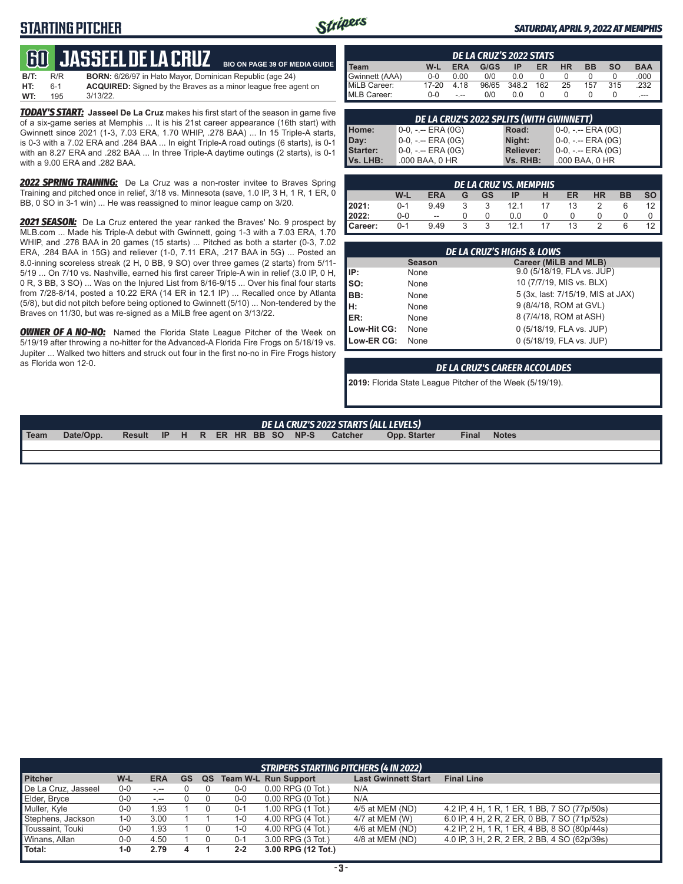## **STARTING PITCHER**



**BIO ON PAGE 39 OF MEDIA GUIDE**

#### *SATURDAY, APRIL 9, 2022 AT MEMPHIS*

# **60****Jasseel de la cruz**

| B/T: | R/R   | <b>BORN:</b> 6/26/97 in Hato Mayor, Dominican Republic (age 24)       |
|------|-------|-----------------------------------------------------------------------|
| HT:  | $6-1$ | <b>ACQUIRED:</b> Signed by the Braves as a minor league free agent on |
| WT:  | 195   | $3/13/22$ .                                                           |

*TODAY'S START:* **Jasseel De La Cruz** makes his first start of the season in game five of a six-game series at Memphis ... It is his 21st career appearance (16th start) with Gwinnett since 2021 (1-3, 7.03 ERA, 1.70 WHIP, .278 BAA) ... In 15 Triple-A starts, is 0-3 with a 7.02 ERA and .284 BAA ... In eight Triple-A road outings (6 starts), is 0-1 with an 8.27 ERA and .282 BAA ... In three Triple-A daytime outings (2 starts), is 0-1 with a 9.00 ERA and .282 BAA.

*2022 SPRING TRAINING:* De La Cruz was a non-roster invitee to Braves Spring Training and pitched once in relief, 3/18 vs. Minnesota (save, 1.0 IP, 3 H, 1 R, 1 ER, 0 BB, 0 SO in 3-1 win) ... He was reassigned to minor league camp on 3/20.

*2021 SEASON:* De La Cruz entered the year ranked the Braves' No. 9 prospect by MLB.com ... Made his Triple-A debut with Gwinnett, going 1-3 with a 7.03 ERA, 1.70 WHIP, and .278 BAA in 20 games (15 starts) ... Pitched as both a starter (0-3, 7.02 ERA, .284 BAA in 15G) and reliever (1-0, 7.11 ERA, .217 BAA in 5G) ... Posted an 8.0-inning scoreless streak (2 H, 0 BB, 9 SO) over three games (2 starts) from 5/11- 5/19 ... On 7/10 vs. Nashville, earned his first career Triple-A win in relief (3.0 IP, 0 H, 0 R, 3 BB, 3 SO) ... Was on the Injured List from 8/16-9/15 ... Over his final four starts from 7/28-8/14, posted a 10.22 ERA (14 ER in 12.1 IP) ... Recalled once by Atlanta (5/8), but did not pitch before being optioned to Gwinnett (5/10) ... Non-tendered by the Braves on 11/30, but was re-signed as a MiLB free agent on 3/13/22.

**OWNER OF A NO-NO:** Named the Florida State League Pitcher of the Week on 5/19/19 after throwing a no-hitter for the Advanced-A Florida Fire Frogs on 5/18/19 vs. Jupiter ... Walked two hitters and struck out four in the first no-no in Fire Frogs history as Florida won 12-0.

|                |         |            | DE LA CRUZ'S 2022 STATS |       |     |           |           |                 |            |
|----------------|---------|------------|-------------------------|-------|-----|-----------|-----------|-----------------|------------|
| I Team         | W-L     | <b>ERA</b> | G/GS                    | ΙP    | ER  | <b>HR</b> | <b>BB</b> | SO <sub>2</sub> | <b>BAA</b> |
| Gwinnett (AAA) | $0 - 0$ | 0.00       | 0/0                     | 0.0   |     |           |           |                 | .000       |
| MiLB Career:   | 17-20   | 4.18       | 96/65                   | 348.2 | 162 | 25        | 157       | 315             | .232       |
| MLB Career:    | $0 - 0$ | - --       | 0/0                     | 0.0   |     |           |           |                 | $---$      |

| DE LA CRUZ'S 2022 SPLITS (WITH GWINNETT) |                                 |                  |                     |  |  |
|------------------------------------------|---------------------------------|------------------|---------------------|--|--|
| Home:                                    | $0-0, - -$ ERA (0G)             | Road:            | $0-0, - -$ ERA (0G) |  |  |
| Day:                                     | <sup>1</sup> 0−0, -.-- ERA (0G) | Night:           | 0-0, -.-- ERA (0G)  |  |  |
| <b>Starter:</b>                          | $0-0, - -$ ERA $(0G)$           | <b>Reliever:</b> | $0-0, - -$ ERA (0G) |  |  |
| Vs. LHB:                                 | .000 BAA, 0 HR                  | Vs. RHB:         | .000 BAA, 0 HR      |  |  |

|         |         |                          |   |    | DE LA CRUZ VS. MEMPHIS |   |    |           |           |           |
|---------|---------|--------------------------|---|----|------------------------|---|----|-----------|-----------|-----------|
|         | W-L     | <b>ERA</b>               | G | GS | IP                     | н | ER | <b>HR</b> | <b>BB</b> | <b>SO</b> |
| 2021:   | $0 - 1$ | 9.49                     |   |    | 12.1                   |   | 13 |           |           | 12        |
| 2022:   | $0-0$   | $\overline{\phantom{a}}$ |   |    | 0.0                    |   |    |           |           |           |
| Career: | $0 - 1$ | 9.49                     | ર | ર  | 121                    |   | 13 |           |           |           |

|                                                                                                                                                                                                                                                                                                                                               |               | <b>DE LA CRUZ'S HIGHS &amp; LOWS</b> |
|-----------------------------------------------------------------------------------------------------------------------------------------------------------------------------------------------------------------------------------------------------------------------------------------------------------------------------------------------|---------------|--------------------------------------|
|                                                                                                                                                                                                                                                                                                                                               | <b>Season</b> | Career (MiLB and MLB)                |
| IP:                                                                                                                                                                                                                                                                                                                                           | None          | 9.0 (5/18/19, FLA vs. JUP)           |
| $\begin{bmatrix} 1 & 0 \\ 0 & 0 \\ 0 & 0 \\ 0 & 0 \\ 0 & 0 \\ 0 & 0 \\ 0 & 0 \\ 0 & 0 \\ 0 & 0 \\ 0 & 0 \\ 0 & 0 \\ 0 & 0 \\ 0 & 0 \\ 0 & 0 \\ 0 & 0 \\ 0 & 0 \\ 0 & 0 \\ 0 & 0 \\ 0 & 0 \\ 0 & 0 \\ 0 & 0 \\ 0 & 0 \\ 0 & 0 \\ 0 & 0 \\ 0 & 0 \\ 0 & 0 \\ 0 & 0 & 0 \\ 0 & 0 & 0 \\ 0 & 0 & 0 \\ 0 & 0 & 0 \\ 0 & 0 & 0 & 0 \\ 0 & 0 & 0 & $ | None          | 10 (7/7/19, MIS vs. BLX)             |
|                                                                                                                                                                                                                                                                                                                                               | None          | 5 (3x, last: 7/15/19, MIS at JAX)    |
|                                                                                                                                                                                                                                                                                                                                               | None          | 9 (8/4/18, ROM at GVL)               |
|                                                                                                                                                                                                                                                                                                                                               | None          | 8 (7/4/18, ROM at ASH)               |
| Low-Hit CG:                                                                                                                                                                                                                                                                                                                                   | None          | 0 (5/18/19, FLA vs. JUP)             |
| Low-ER CG:                                                                                                                                                                                                                                                                                                                                    | None          | 0 (5/18/19, FLA vs. JUP)             |

#### *DE LA CRUZ'S CAREER ACCOLADES*

**2019:** Florida State League Pitcher of the Week (5/19/19).

## *DE LA CRUZ'S 2022 STARTS (ALL LEVELS)*

**Team Date/Opp. Result IP H R ER HR BB SO NP-S Catcher Opp. Starter Final Notes**

| <b>STRIPERS STARTING PITCHERS (4 IN 2022)</b> |         |            |           |    |         |                             |                            |                                              |
|-----------------------------------------------|---------|------------|-----------|----|---------|-----------------------------|----------------------------|----------------------------------------------|
| <b>Pitcher</b>                                | W-L     | <b>ERA</b> | <b>GS</b> | QS |         | <b>Team W-L Run Support</b> | <b>Last Gwinnett Start</b> | <b>Final Line</b>                            |
| De La Cruz, Jasseel                           | $0 - 0$ | $-1$       |           |    | $0-0$   | $0.00$ RPG $(0$ Tot.)       | N/A                        |                                              |
| Elder, Bryce                                  | $0-0$   | $-1 - 1$   |           |    | $0-0$   | $0.00$ RPG $(0$ Tot.)       | N/A                        |                                              |
| Muller, Kyle                                  | $0-0$   | 1.93       |           |    | $0 - 1$ | 1.00 RPG (1 Tot.)           | 4/5 at MEM (ND)            | 4.2 IP. 4 H. 1 R. 1 ER. 1 BB. 7 SO (77p/50s) |
| Stephens, Jackson                             | $1 - 0$ | 3.00       |           |    | $1 - 0$ | 4.00 RPG (4 Tot.)           | 4/7 at MEM (W)             | 6.0 IP, 4 H, 2 R, 2 ER, 0 BB, 7 SO (71p/52s) |
| Toussaint, Touki                              | $0-0$   | 1.93       |           |    | 1-0     | 4.00 RPG (4 Tot.)           | 4/6 at MEM (ND)            | 4.2 IP, 2 H, 1 R, 1 ER, 4 BB, 8 SO (80p/44s) |
| Winans, Allan                                 | $0-0$   | 4.50       |           |    | $0 - 1$ | 3.00 RPG (3 Tot.)           | 4/8 at MEM (ND)            | 4.0 IP, 3 H, 2 R, 2 ER, 2 BB, 4 SO (62p/39s) |
| Total:                                        | $1 - 0$ | 2.79       |           |    | $2 - 2$ | 3.00 RPG (12 Tot.)          |                            |                                              |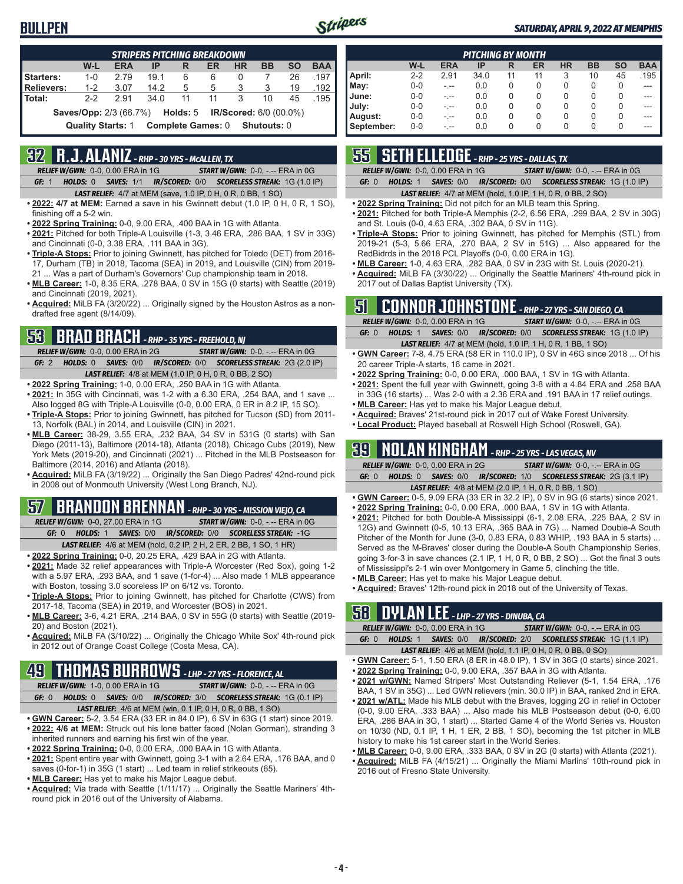### **BULLPEN**



#### *SATURDAY, APRIL 9, 2022 AT MEMPHIS*

|                                                                             |         |            | <b>STRIPERS PITCHING BREAKDOWN</b> |    |    |           |           |           |            |
|-----------------------------------------------------------------------------|---------|------------|------------------------------------|----|----|-----------|-----------|-----------|------------|
|                                                                             | W-L     | <b>ERA</b> | IP                                 | R  | ER | <b>HR</b> | <b>BB</b> | <b>SO</b> | <b>BAA</b> |
| <b>Starters:</b>                                                            | $1 - 0$ | 279        | 19.1                               | 6  | 6  | 0         |           | 26        | .197       |
| <b>Relievers:</b>                                                           | $1 - 2$ | 3.07       | 14.2                               | 5  | 5  | 3         | 3         | 19        | .192       |
| Total:                                                                      | $2 - 2$ | 291        | 34.0                               | 11 | 11 | 3         | 10        | 45        | .195       |
| <b>Saves/Opp:</b> 2/3 (66.7%) <b>Holds:</b> 5 <b>IR/Scored:</b> 6/0 (00.0%) |         |            |                                    |    |    |           |           |           |            |
| <b>Complete Games: 0</b><br><b>Quality Starts: 1</b><br>Shutouts: 0         |         |            |                                    |    |    |           |           |           |            |

## **32 R.J. ALANIZ** *- RHP - 30 YRS - McALLEN, TX*

*RELIEF W/GWN:*0-0, 0.00 ERA in 1G *START W/GWN:*0-0, -.-- ERA in 0G *GF:*1 *HOLDS:*0 *SAVES:*1/1 *IR/SCORED:*0/0 *SCORELESS STREAK:*1G (1.0 IP)

- *LAST RELIEF:*4/7 at MEM (save, 1.0 IP, 0 H, 0 R, 0 BB, 1 SO)
- **• 2022: 4/7 at MEM:** Earned a save in his Gwinnett debut (1.0 IP, 0 H, 0 R, 1 SO), finishing off a 5-2 win.
- **• 2022 Spring Training:** 0-0, 9.00 ERA, .400 BAA in 1G with Atlanta.
- **• 2021:** Pitched for both Triple-A Louisville (1-3, 3.46 ERA, .286 BAA, 1 SV in 33G) and Cincinnati (0-0, 3.38 ERA, .111 BAA in 3G).
- **• Triple-A Stops:** Prior to joining Gwinnett, has pitched for Toledo (DET) from 2016- 17, Durham (TB) in 2018, Tacoma (SEA) in 2019, and Louisville (CIN) from 2019- 21 ... Was a part of Durham's Governors' Cup championship team in 2018.
- **• MLB Career:** 1-0, 8.35 ERA, .278 BAA, 0 SV in 15G (0 starts) with Seattle (2019) and Cincinnati (2019, 2021).
- **• Acquired:** MiLB FA (3/20/22) ... Originally signed by the Houston Astros as a nondrafted free agent (8/14/09).

## **53 BRAD BRACH** *- RHP - 35 YRS - FREEHOLD, NJ*

*RELIEF W/GWN:*0-0, 0.00 ERA in 2G *START W/GWN:*0-0, -.-- ERA in 0G *GF:*2 *HOLDS:*0 *SAVES:*0/0 *IR/SCORED:*0/0 *SCORELESS STREAK:*2G (2.0 IP) *LAST RELIEF:*4/8 at MEM (1.0 IP, 0 H, 0 R, 0 BB, 2 SO)

- **• 2022 Spring Training:** 1-0, 0.00 ERA, .250 BAA in 1G with Atlanta.
- **• 2021:** In 35G with Cincinnati, was 1-2 with a 6.30 ERA, .254 BAA, and 1 save ... Also logged 8G with Triple-A Louisville (0-0, 0.00 ERA, 0 ER in 8.2 IP, 15 SO).
- **• Triple-A Stops:** Prior to joining Gwinnett, has pitched for Tucson (SD) from 2011- 13, Norfolk (BAL) in 2014, and Louisville (CIN) in 2021.
- **• MLB Career:** 38-29, 3.55 ERA, .232 BAA, 34 SV in 531G (0 starts) with San Diego (2011-13), Baltimore (2014-18), Atlanta (2018), Chicago Cubs (2019), New York Mets (2019-20), and Cincinnati (2021) ... Pitched in the MLB Postseason for Baltimore (2014, 2016) and Atlanta (2018).
- **• Acquired:** MiLB FA (3/19/22) ... Originally the San Diego Padres' 42nd-round pick in 2008 out of Monmouth University (West Long Branch, NJ).

## **57 BRANDON BRENNAN** *- RHP - 30 YRS - MISSION VIEJO, CA*

*RELIEF W/GWN:*0-0, 27.00 ERA in 1G *START W/GWN:*0-0, -.-- ERA in 0G *GF:*0 *HOLDS:*1 *SAVES:*0/0 *IR/SCORED:*0/0 *SCORELESS STREAK:*-1G *LAST RELIEF:*4/6 at MEM (hold, 0.2 IP, 2 H, 2 ER, 2 BB, 1 SO, 1 HR)

- **• 2022 Spring Training:** 0-0, 20.25 ERA, .429 BAA in 2G with Atlanta.
- **• 2021:** Made 32 relief appearances with Triple-A Worcester (Red Sox), going 1-2 with a 5.97 ERA, .293 BAA, and 1 save (1-for-4) ... Also made 1 MLB appearance with Boston, tossing 3.0 scoreless IP on 6/12 vs. Toronto.
- **• Triple-A Stops:** Prior to joining Gwinnett, has pitched for Charlotte (CWS) from 2017-18, Tacoma (SEA) in 2019, and Worcester (BOS) in 2021.
- **• MLB Career:** 3-6, 4.21 ERA, .214 BAA, 0 SV in 55G (0 starts) with Seattle (2019- 20) and Boston (2021).
- **• Acquired:** MiLB FA (3/10/22) ... Originally the Chicago White Sox' 4th-round pick in 2012 out of Orange Coast College (Costa Mesa, CA).

## **49 THOMAS BURROWS** *- LHP - 27 YRS - FLORENCE, AL*

*RELIEF W/GWN:*1-0, 0.00 ERA in 1G *START W/GWN:*0-0, -.-- ERA in 0G *GF:*0 *HOLDS:*0 *SAVES:*0/0 *IR/SCORED:*3/0 *SCORELESS STREAK:*1G (0.1 IP)

- *LAST RELIEF:*4/6 at MEM (win, 0.1 IP, 0 H, 0 R, 0 BB, 1 SO)
- **• GWN Career:** 5-2, 3.54 ERA (33 ER in 84.0 IP), 6 SV in 63G (1 start) since 2019. **• 2022: 4/6 at MEM:** Struck out his lone batter faced (Nolan Gorman), stranding 3 inherited runners and earning his first win of the year.
- **• 2022 Spring Training:** 0-0, 0.00 ERA, .000 BAA in 1G with Atlanta.
- **• 2021:** Spent entire year with Gwinnett, going 3-1 with a 2.64 ERA, .176 BAA, and 0 saves (0-for-1) in 35G (1 start) ... Led team in relief strikeouts (65).
- **• MLB Career:** Has yet to make his Major League debut.
- **• Acquired:** Via trade with Seattle (1/11/17) ... Originally the Seattle Mariners' 4thround pick in 2016 out of the University of Alabama.

|            |         |            | <b>PITCHING BY MONTH</b> |    |    |           |           |           |            |
|------------|---------|------------|--------------------------|----|----|-----------|-----------|-----------|------------|
|            | W-L     | <b>ERA</b> | IP                       | R  | ER | <b>HR</b> | <b>BB</b> | <b>SO</b> | <b>BAA</b> |
| April:     | $2 - 2$ | 2.91       | 34.0                     | 11 | 11 | 3         | 10        | 45        | .195       |
| May:       | $0 - 0$ | - --       | 0.0                      | 0  | 0  | 0         | 0         | 0         | ---        |
| June:      | $0 - 0$ | - --       | 0.0                      | 0  | 0  | 0         | 0         | 0         |            |
| July:      | $0 - 0$ | - --       | 0.0                      | 0  | 0  | 0         | 0         | 0         |            |
| August:    | $0 - 0$ |            | 0.0                      | 0  | 0  | 0         | 0         | 0         |            |
| September: | $0 - 0$ | - --       | 0.0                      | 0  | 0  | 0         | 0         | 0         | ---        |

## **55 SETH ELLEDGE** *- RHP - 25 YRS - DALLAS, TX*

*RELIEF W/GWN:*0-0, 0.00 ERA in 1G *START W/GWN:*0-0, -.-- ERA in 0G

*GF:*0 *HOLDS:*1 *SAVES:*0/0 *IR/SCORED:*0/0 *SCORELESS STREAK:*1G (1.0 IP)

#### *LAST RELIEF:*4/7 at MEM (hold, 1.0 IP, 1 H, 0 R, 0 BB, 2 SO)

- **• 2022 Spring Training:** Did not pitch for an MLB team this Spring.
- **• 2021:** Pitched for both Triple-A Memphis (2-2, 6.56 ERA, .299 BAA, 2 SV in 30G) and St. Louis (0-0, 4.63 ERA, .302 BAA, 0 SV in 11G).
- **• Triple-A Stops:** Prior to joining Gwinnett, has pitched for Memphis (STL) from 2019-21 (5-3, 5.66 ERA, .270 BAA, 2 SV in 51G) ... Also appeared for the RedBidrds in the 2018 PCL Playoffs (0-0, 0.00 ERA in 1G).
- **• MLB Career:** 1-0, 4.63 ERA, .282 BAA, 0 SV in 23G with St. Louis (2020-21).
- **• Acquired:** MiLB FA (3/30/22) ... Originally the Seattle Mariners' 4th-round pick in 2017 out of Dallas Baptist University (TX).

### **51 CONNOR JOHNSTONE** *- RHP - 27 YRS - SAN DIEGO, CA*

|       | <b>RELIEF W/GWN: 0-0, 0.00 ERA in 1G</b> | <b>START W/GWN: <math>0-0</math>, -.-- ERA in OG</b>                |
|-------|------------------------------------------|---------------------------------------------------------------------|
| GF: 0 |                                          | HOLDS: 1 SAVES: 0/0 IR/SCORED: 0/0 SCORELESS STREAK: 1G (1.0 IP)    |
|       |                                          | <b>LAST RELIEF:</b> 4/7 at MEM (hold, 1.0 IP, 1 H, 0 R, 1 BB, 1 SO) |

- **• GWN Career:** 7-8, 4.75 ERA (58 ER in 110.0 IP), 0 SV in 46G since 2018 ... Of his 20 career Triple-A starts, 16 came in 2021.
- **• 2022 Spring Training:** 0-0, 0.00 ERA, .000 BAA, 1 SV in 1G with Atlanta.
- **• 2021:** Spent the full year with Gwinnett, going 3-8 with a 4.84 ERA and .258 BAA in 33G (16 starts) ... Was 2-0 with a 2.36 ERA and .191 BAA in 17 relief outings.
- **• MLB Career:** Has yet to make his Major League debut.
- **• Acquired:** Braves' 21st-round pick in 2017 out of Wake Forest University.
- **• Local Product:** Played baseball at Roswell High School (Roswell, GA).

### **39 NOLAN KINGHAM** *- RHP - 25 YRS - LAS VEGAS, NV*

|       | <b>RELIEF W/GWN: 0-0, 0.00 ERA in 2G</b> | <b>START W/GWN: 0-0, -.-- ERA in 0G</b>                          |
|-------|------------------------------------------|------------------------------------------------------------------|
| GE: 0 |                                          | HOLDS: 0 SAVES: 0/0 IR/SCORED: 1/0 SCORELESS STREAK: 2G (3.1 IP) |
|       |                                          |                                                                  |

- *LAST RELIEF:*4/8 at MEM (2.0 IP, 1 H, 0 R, 0 BB, 1 SO) **• GWN Career:** 0-5, 9.09 ERA (33 ER in 32.2 IP), 0 SV in 9G (6 starts) since 2021.
- **• 2022 Spring Training:** 0-0, 0.00 ERA, .000 BAA, 1 SV in 1G with Atlanta.
- **• 2021:** Pitched for both Double-A Mississippi (6-1, 2.08 ERA, .225 BAA, 2 SV in 12G) and Gwinnett (0-5, 10.13 ERA, .365 BAA in 7G) ... Named Double-A South Pitcher of the Month for June (3-0, 0.83 ERA, 0.83 WHIP, .193 BAA in 5 starts) ... Served as the M-Braves' closer during the Double-A South Championship Series, going 3-for-3 in save chances (2.1 IP, 1 H, 0 R, 0 BB, 2 SO) ... Got the final 3 outs of Mississippi's 2-1 win over Montgomery in Game 5, clinching the title.
- **• MLB Career:** Has yet to make his Major League debut.
- **• Acquired:** Braves' 12th-round pick in 2018 out of the University of Texas.

### **58 DYLAN LEE** *- LHP - 27 YRS - DINUBA, CA*

|       | RELIEF W/GWN: 0-0, 0.00 ERA in 1G | <b>START W/GWN: 0-0, -.-- ERA in 0G</b>                             |
|-------|-----------------------------------|---------------------------------------------------------------------|
| GF: 0 |                                   | HOLDS: 1 SAVES: 0/0 IR/SCORED: 2/0 SCORELESS STREAK: 1G (1.1 IP)    |
|       |                                   | <b>LAST RELIEF:</b> 4/6 at MEM (hold, 1.1 IP, 0 H, 0 R, 0 BB, 0 SO) |

- **• GWN Career:** 5-1, 1.50 ERA (8 ER in 48.0 IP), 1 SV in 36G (0 starts) since 2021.
- **• 2022 Spring Training:** 0-0, 9.00 ERA, .357 BAA in 3G with Atlanta. **• 2021 w/GWN:** Named Stripers' Most Outstanding Reliever (5-1, 1.54 ERA, .176
- BAA, 1 SV in 35G) ... Led GWN relievers (min. 30.0 IP) in BAA, ranked 2nd in ERA.
- **• 2021 w/ATL:** Made his MLB debut with the Braves, logging 2G in relief in October (0-0, 9.00 ERA, .333 BAA) ... Also made his MLB Postseason debut (0-0, 6.00 ERA, .286 BAA in 3G, 1 start) ... Started Game 4 of the World Series vs. Houston on 10/30 (ND, 0.1 IP, 1 H, 1 ER, 2 BB, 1 SO), becoming the 1st pitcher in MLB history to make his 1st career start in the World Series.
- **• MLB Career:** 0-0, 9.00 ERA, .333 BAA, 0 SV in 2G (0 starts) with Atlanta (2021).
- **• Acquired:** MiLB FA (4/15/21) ... Originally the Miami Marlins' 10th-round pick in 2016 out of Fresno State University.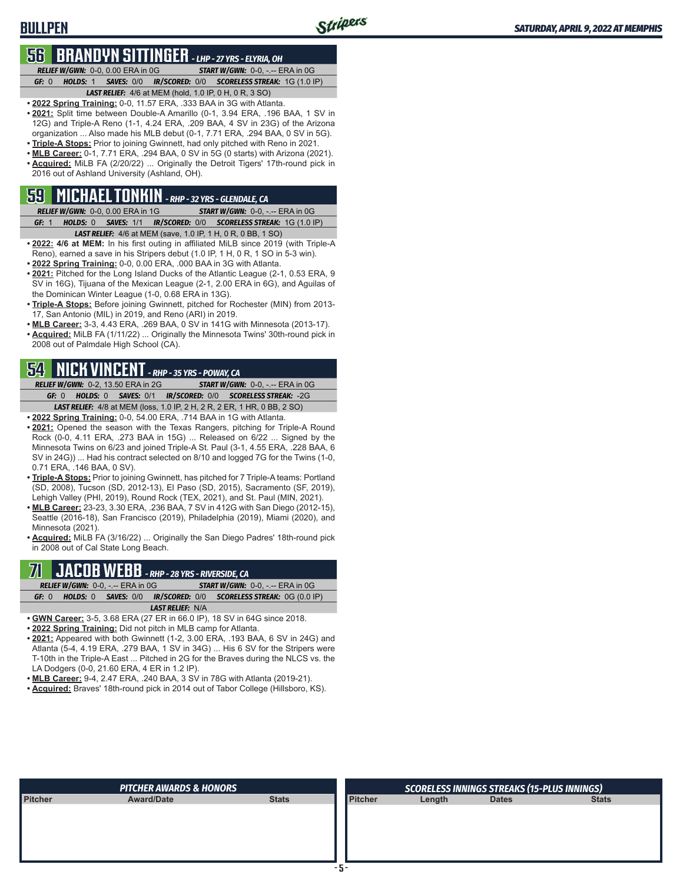## **56 BRANDYN SITTINGER** *- LHP - 27 YRS - ELYRIA, OH*

**BULLPEN**

*RELIEF W/GWN:*0-0, 0.00 ERA in 0G *START W/GWN:*0-0, -.-- ERA in 0G *GF:*0 *HOLDS:*1 *SAVES:*0/0 *IR/SCORED:*0/0 *SCORELESS STREAK:*1G (1.0 IP) *LAST RELIEF:*4/6 at MEM (hold, 1.0 IP, 0 H, 0 R, 3 SO)

- **• 2022 Spring Training:** 0-0, 11.57 ERA, .333 BAA in 3G with Atlanta.
- **• 2021:** Split time between Double-A Amarillo (0-1, 3.94 ERA, .196 BAA, 1 SV in 12G) and Triple-A Reno (1-1, 4.24 ERA, .209 BAA, 4 SV in 23G) of the Arizona organization ... Also made his MLB debut (0-1, 7.71 ERA, .294 BAA, 0 SV in 5G).
- **• Triple-A Stops:** Prior to joining Gwinnett, had only pitched with Reno in 2021.
- **• MLB Career:** 0-1, 7.71 ERA, .294 BAA, 0 SV in 5G (0 starts) with Arizona (2021). **• Acquired:** MiLB FA (2/20/22) ... Originally the Detroit Tigers' 17th-round pick in 2016 out of Ashland University (Ashland, OH).

## **59 MICHAEL TONKIN** *- RHP - 32 YRS - GLENDALE, CA*

*RELIEF W/GWN:*0-0, 0.00 ERA in 1G *START W/GWN:*0-0, -.-- ERA in 0G *GF:*1 *HOLDS:*0 *SAVES:*1/1 *IR/SCORED:*0/0 *SCORELESS STREAK:*1G (1.0 IP) *LAST RELIEF:*4/6 at MEM (save, 1.0 IP, 1 H, 0 R, 0 BB, 1 SO)

- **• 2022: 4/6 at MEM:** In his first outing in affiliated MiLB since 2019 (with Triple-A Reno), earned a save in his Stripers debut (1.0 IP, 1 H, 0 R, 1 SO in 5-3 win).
- **• 2022 Spring Training:** 0-0, 0.00 ERA, .000 BAA in 3G with Atlanta.
- **• 2021:** Pitched for the Long Island Ducks of the Atlantic League (2-1, 0.53 ERA, 9 SV in 16G), Tijuana of the Mexican League (2-1, 2.00 ERA in 6G), and Aguilas of the Dominican Winter League (1-0, 0.68 ERA in 13G).
- **• Triple-A Stops:** Before joining Gwinnett, pitched for Rochester (MIN) from 2013- 17, San Antonio (MIL) in 2019, and Reno (ARI) in 2019.
- **• MLB Career:** 3-3, 4.43 ERA, .269 BAA, 0 SV in 141G with Minnesota (2013-17).
- **• Acquired:** MiLB FA (1/11/22) ... Originally the Minnesota Twins' 30th-round pick in 2008 out of Palmdale High School (CA).

## **54 NICK VINCENT** *- RHP - 35 YRS - POWAY, CA*

*RELIEF W/GWN:*0-2, 13.50 ERA in 2G *START W/GWN:*0-0, -.-- ERA in 0G *GF:*0 *HOLDS:*0 *SAVES:*0/1 *IR/SCORED:*0/0 *SCORELESS STREAK:*-2G *LAST RELIEF:*4/8 at MEM (loss, 1.0 IP, 2 H, 2 R, 2 ER, 1 HR, 0 BB, 2 SO)

- **• 2022 Spring Training:** 0-0, 54.00 ERA, .714 BAA in 1G with Atlanta.
- **• 2021:** Opened the season with the Texas Rangers, pitching for Triple-A Round Rock (0-0, 4.11 ERA, .273 BAA in 15G) ... Released on 6/22 ... Signed by the Minnesota Twins on 6/23 and joined Triple-A St. Paul (3-1, 4.55 ERA, .228 BAA, 6 SV in 24G)) ... Had his contract selected on 8/10 and logged 7G for the Twins (1-0, 0.71 ERA, .146 BAA, 0 SV).
- **• Triple-A Stops:** Prior to joining Gwinnett, has pitched for 7 Triple-A teams: Portland (SD, 2008), Tucson (SD, 2012-13), El Paso (SD, 2015), Sacramento (SF, 2019), Lehigh Valley (PHI, 2019), Round Rock (TEX, 2021), and St. Paul (MIN, 2021).
- **• MLB Career:** 23-23, 3.30 ERA, .236 BAA, 7 SV in 412G with San Diego (2012-15), Seattle (2016-18), San Francisco (2019), Philadelphia (2019), Miami (2020), and Minnesota (2021).

**• Acquired:** MiLB FA (3/16/22) ... Originally the San Diego Padres' 18th-round pick in 2008 out of Cal State Long Beach.

## **71 JACOB WEBB** *- RHP - 28 YRS - RIVERSIDE, CA*

| ---                                      |                                                                         |
|------------------------------------------|-------------------------------------------------------------------------|
| <b>RELIEF W/GWN: 0-0, -.-- ERA in 0G</b> | <b>START W/GWN: 0-0, -.-- ERA in 0G</b>                                 |
| GF: 0                                    | <b>HOLDS: 0 SAVES: 0/0 IR/SCORED: 0/0 SCORELESS STREAK: 0G (0.0 IP)</b> |
|                                          | <b>LAST RELIEF: N/A</b>                                                 |

- **• GWN Career:** 3-5, 3.68 ERA (27 ER in 66.0 IP), 18 SV in 64G since 2018.
- **• 2022 Spring Training:** Did not pitch in MLB camp for Atlanta.
- **• 2021:** Appeared with both Gwinnett (1-2, 3.00 ERA, .193 BAA, 6 SV in 24G) and Atlanta (5-4, 4.19 ERA, .279 BAA, 1 SV in 34G) ... His 6 SV for the Stripers were T-10th in the Triple-A East ... Pitched in 2G for the Braves during the NLCS vs. the LA Dodgers (0-0, 21.60 ERA, 4 ER in 1.2 IP).
- **• MLB Career:** 9-4, 2.47 ERA, .240 BAA, 3 SV in 78G with Atlanta (2019-21).
- **• Acquired:** Braves' 18th-round pick in 2014 out of Tabor College (Hillsboro, KS).

|                | <b>PITCHER AWARDS &amp; HONORS</b> |              |                | <b>SCORELESS INNINGS STREAKS (15-PLUS INNINGS)</b> |              |              |  |  |  |
|----------------|------------------------------------|--------------|----------------|----------------------------------------------------|--------------|--------------|--|--|--|
| <b>Pitcher</b> | <b>Award/Date</b>                  | <b>Stats</b> | <b>Pitcher</b> | Length                                             | <b>Dates</b> | <b>Stats</b> |  |  |  |
|                |                                    |              |                |                                                    |              |              |  |  |  |
|                |                                    |              |                |                                                    |              |              |  |  |  |
|                |                                    |              |                |                                                    |              |              |  |  |  |
|                |                                    |              |                |                                                    |              |              |  |  |  |
|                |                                    |              |                |                                                    |              |              |  |  |  |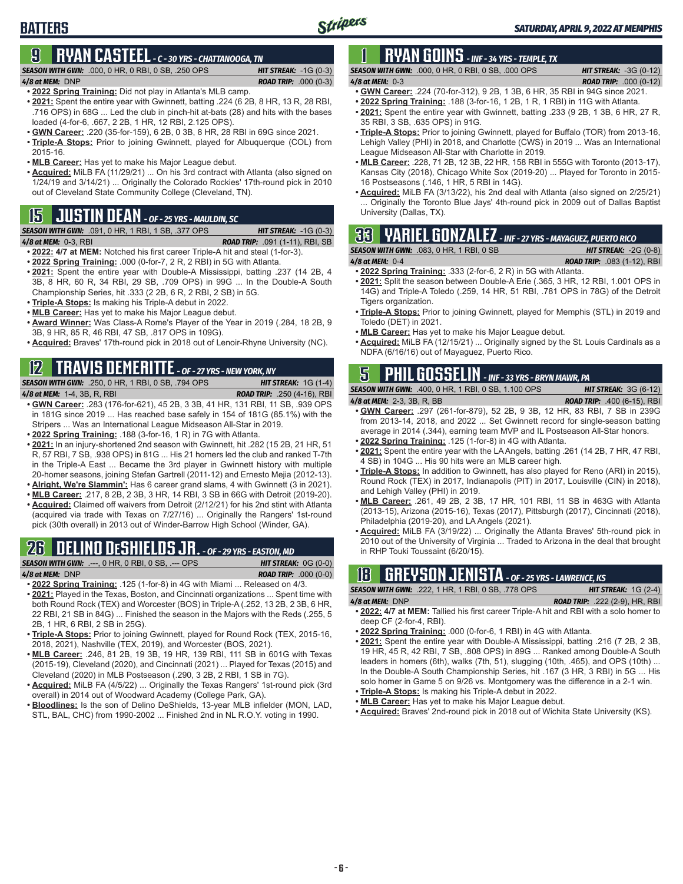## **BATTERS**

## **9 RYAN CASTEEL** *- C - 30 YRS - CHATTANOOGA, TN*

*SEASON WITH GWN:*.000, 0 HR, 0 RBI, 0 SB, .250 OPS *HIT STREAK:* -1G (0-3)

- *4/8 at MEM:*DNP *ROAD TRIP:* .000 (0-3) **• 2022 Spring Training:** Did not play in Atlanta's MLB camp.
- **• 2021:** Spent the entire year with Gwinnett, batting .224 (6 2B, 8 HR, 13 R, 28 RBI, .716 OPS) in 68G ... Led the club in pinch-hit at-bats (28) and hits with the bases loaded (4-for-6, .667, 2 2B, 1 HR, 12 RBI, 2.125 OPS).
- **• GWN Career:** .220 (35-for-159), 6 2B, 0 3B, 8 HR, 28 RBI in 69G since 2021.
- **• Triple-A Stops:** Prior to joining Gwinnett, played for Albuquerque (COL) from 2015-16.
- **• MLB Career:** Has yet to make his Major League debut.
- **• Acquired:** MiLB FA (11/29/21) ... On his 3rd contract with Atlanta (also signed on 1/24/19 and 3/14/21) ... Originally the Colorado Rockies' 17th-round pick in 2010 out of Cleveland State Community College (Cleveland, TN).

## **15 JUSTIN DEAN** *- OF - 25 YRS - MAULDIN, SC*

*SEASON WITH GWN:*.091, 0 HR, 1 RBI, 1 SB, .377 OPS *HIT STREAK:* -1G (0-3)

*4/8 at MEM:*0-3, RBI *ROAD TRIP:* .091 (1-11), RBI, SB

- **• 2022: 4/7 at MEM:** Notched his first career Triple-A hit and steal (1-for-3). **• 2022 Spring Training:** .000 (0-for-7, 2 R, 2 RBI) in 5G with Atlanta.
- **• 2021:** Spent the entire year with Double-A Mississippi, batting .237 (14 2B, 4 3B, 8 HR, 60 R, 34 RBI, 29 SB, .709 OPS) in 99G ... In the Double-A South Championship Series, hit .333 (2 2B, 6 R, 2 RBI, 2 SB) in 5G.
- **• Triple-A Stops:** Is making his Triple-A debut in 2022.
- **• MLB Career:** Has yet to make his Major League debut.
- **• Award Winner:** Was Class-A Rome's Player of the Year in 2019 (.284, 18 2B, 9 3B, 9 HR, 85 R, 46 RBI, 47 SB, .817 OPS in 109G).
- **• Acquired:** Braves' 17th-round pick in 2018 out of Lenoir-Rhyne University (NC).

## **12 TRAVIS DEMERITTE** *- OF - 27 YRS - NEW YORK, NY*

#### *SEASON WITH GWN:*.250, 0 HR, 1 RBI, 0 SB, .794 OPS *HIT STREAK:* 1G (1-4)

- *4/8 at MEM:*1-4, 3B, R, RBI *ROAD TRIP:* .250 (4-16), RBI **• GWN Career:** .283 (176-for-621), 45 2B, 3 3B, 41 HR, 131 RBI, 11 SB, .939 OPS
- in 181G since 2019 ... Has reached base safely in 154 of 181G (85.1%) with the Stripers ... Was an International League Midseason All-Star in 2019. **• 2022 Spring Training:** .188 (3-for-16, 1 R) in 7G with Atlanta.
- **• 2021:** In an injury-shortened 2nd season with Gwinnett, hit .282 (15 2B, 21 HR, 51 R, 57 RBI, 7 SB, .938 OPS) in 81G ... His 21 homers led the club and ranked T-7th in the Triple-A East ... Became the 3rd player in Gwinnett history with multiple 20-homer seasons, joining Stefan Gartrell (2011-12) and Ernesto Mejia (2012-13).
- **• Alright, We're Slammin':** Has 6 career grand slams, 4 with Gwinnett (3 in 2021).
- **• MLB Career:** .217, 8 2B, 2 3B, 3 HR, 14 RBI, 3 SB in 66G with Detroit (2019-20). **• Acquired:** Claimed off waivers from Detroit (2/12/21) for his 2nd stint with Atlanta (acquired via trade with Texas on 7/27/16) ... Originally the Rangers' 1st-round pick (30th overall) in 2013 out of Winder-Barrow High School (Winder, GA).

## **26 DELINO DESHIELDS JR.** *- OF - 29 YRS - EASTON, MD*

| <b>SEASON WITH GWN:</b> .---, 0 HR, 0 RBI, 0 SB, .--- OPS |  |  |  | <b>HIT STREAK:</b> $OG(0-0)$  |  |
|-----------------------------------------------------------|--|--|--|-------------------------------|--|
| 4/8 at MEM: DNP                                           |  |  |  | <b>ROAD TRIP:</b> $.000(0-0)$ |  |
| ---- - -                                                  |  |  |  |                               |  |

- **• 2022 Spring Training:** .125 (1-for-8) in 4G with Miami ... Released on 4/3.
- **• 2021:** Played in the Texas, Boston, and Cincinnati organizations ... Spent time with both Round Rock (TEX) and Worcester (BOS) in Triple-A (.252, 13 2B, 2 3B, 6 HR, 22 RBI, 21 SB in 84G) ... Finished the season in the Majors with the Reds (.255, 5 2B, 1 HR, 6 RBI, 2 SB in 25G).
- **• Triple-A Stops:** Prior to joining Gwinnett, played for Round Rock (TEX, 2015-16, 2018, 2021), Nashville (TEX, 2019), and Worcester (BOS, 2021).
- **• MLB Career:** .246, 81 2B, 19 3B, 19 HR, 139 RBI, 111 SB in 601G with Texas (2015-19), Cleveland (2020), and Cincinnati (2021) ... Played for Texas (2015) and Cleveland (2020) in MLB Postseason (.290, 3 2B, 2 RBI, 1 SB in 7G).
- **• Acquired:** MiLB FA (4/5/22) ... Originally the Texas Rangers' 1st-round pick (3rd overall) in 2014 out of Woodward Academy (College Park, GA).
- **• Bloodlines:** Is the son of Delino DeShields, 13-year MLB infielder (MON, LAD, STL, BAL, CHC) from 1990-2002 ... Finished 2nd in NL R.O.Y. voting in 1990.

## **1 RYAN GOINS** *- INF - 34 YRS - TEMPLE, TX*

*SEASON WITH GWN:*.000, 0 HR, 0 RBI, 0 SB, .000 OPS *HIT STREAK:* -3G (0-12) *4/8 at MEM:*0-3 *ROAD TRIP:* .000 (0-12)

- **• GWN Career:** .224 (70-for-312), 9 2B, 1 3B, 6 HR, 35 RBI in 94G since 2021. **• 2022 Spring Training:** .188 (3-for-16, 1 2B, 1 R, 1 RBI) in 11G with Atlanta.
- **• 2021:** Spent the entire year with Gwinnett, batting .233 (9 2B, 1 3B, 6 HR, 27 R, 35 RBI, 3 SB, .635 OPS) in 91G.
- **• Triple-A Stops:** Prior to joining Gwinnett, played for Buffalo (TOR) from 2013-16, Lehigh Valley (PHI) in 2018, and Charlotte (CWS) in 2019 ... Was an International League Midseason All-Star with Charlotte in 2019.
- **• MLB Career:** .228, 71 2B, 12 3B, 22 HR, 158 RBI in 555G with Toronto (2013-17), Kansas City (2018), Chicago White Sox (2019-20) ... Played for Toronto in 2015- 16 Postseasons (.146, 1 HR, 5 RBI in 14G).
- **• Acquired:** MiLB FA (3/13/22), his 2nd deal with Atlanta (also signed on 2/25/21) Originally the Toronto Blue Jays' 4th-round pick in 2009 out of Dallas Baptist University (Dallas, TX).

## **33 YARIEL GONZALEZ** *- INF - 27 YRS - MAYAGUEZ, PUERTO RICO*

*SEASON WITH GWN:*.083, 0 HR, 1 RBI, 0 SB *HIT STREAK:* -2G (0-8)

- *4/8 at MEM:*0-4 *ROAD TRIP:* .083 (1-12), RBI
- **• 2022 Spring Training:** .333 (2-for-6, 2 R) in 5G with Atlanta. **• 2021:** Split the season between Double-A Erie (.365, 3 HR, 12 RBI, 1.001 OPS in 14G) and Triple-A Toledo (.259, 14 HR, 51 RBI, .781 OPS in 78G) of the Detroit Tigers organization.
- **• Triple-A Stops:** Prior to joining Gwinnett, played for Memphis (STL) in 2019 and Toledo (DET) in 2021.
- **• MLB Career:** Has yet to make his Major League debut.
- **• Acquired:** MiLB FA (12/15/21) ... Originally signed by the St. Louis Cardinals as a NDFA (6/16/16) out of Mayaguez, Puerto Rico.

## **5 PHIL GOSSELIN** *- INF - 33 YRS - BRYN MAWR, PA*

*SEASON WITH GWN:*.400, 0 HR, 1 RBI, 0 SB, 1.100 OPS *HIT STREAK:* 3G (6-12)

- *4/8 at MEM:*2-3, 3B, R, BB *ROAD TRIP:* .400 (6-15), RBI **• GWN Career:** .297 (261-for-879), 52 2B, 9 3B, 12 HR, 83 RBI, 7 SB in 239G from 2013-14, 2018, and 2022 ... Set Gwinnett record for single-season batting average in 2014 (.344), earning team MVP and IL Postseason All-Star honors.
- **• 2022 Spring Training:** .125 (1-for-8) in 4G with Atlanta.
- **• 2021:** Spent the entire year with the LA Angels, batting .261 (14 2B, 7 HR, 47 RBI, 4 SB) in 104G ... His 90 hits were an MLB career high.
- **• Triple-A Stops:** In addition to Gwinnett, has also played for Reno (ARI) in 2015), Round Rock (TEX) in 2017, Indianapolis (PIT) in 2017, Louisville (CIN) in 2018), and Lehigh Valley (PHI) in 2019.
- **• MLB Career:** .261, 49 2B, 2 3B, 17 HR, 101 RBI, 11 SB in 463G with Atlanta (2013-15), Arizona (2015-16), Texas (2017), Pittsburgh (2017), Cincinnati (2018), Philadelphia (2019-20), and LA Angels (2021).
- **• Acquired:** MiLB FA (3/19/22) ... Originally the Atlanta Braves' 5th-round pick in 2010 out of the University of Virginia ... Traded to Arizona in the deal that brought in RHP Touki Toussaint (6/20/15).

|                |  |  | <b>GREYSON JENISTA</b> - OF - 25 YRS - LAWRENCE, KS |  |
|----------------|--|--|-----------------------------------------------------|--|
| $\overline{C}$ |  |  | $IIPF$ $ATPRII$ $A \cap B$                          |  |

#### *SEASON WITH GWN:*.222, 1 HR, 1 RBI, 0 SB, .778 OPS *HIT STREAK:* 1G (2-4) *4/8 at MEM:*DNP *ROAD TRIP:* .222 (2-9), HR, RBI

- **• 2022: 4/7 at MEM:** Tallied his first career Triple-A hit and RBI with a solo homer to deep CF (2-for-4, RBI).
- **• 2022 Spring Training:** .000 (0-for-6, 1 RBI) in 4G with Atlanta.
- **• 2021:** Spent the entire year with Double-A Mississippi, batting .216 (7 2B, 2 3B, 19 HR, 45 R, 42 RBI, 7 SB, .808 OPS) in 89G ... Ranked among Double-A South leaders in homers (6th), walks (7th, 51), slugging (10th, .465), and OPS (10th) ... In the Double-A South Championship Series, hit .167 (3 HR, 3 RBI) in 5G ... His solo homer in Game 5 on 9/26 vs. Montgomery was the difference in a 2-1 win.
- **• Triple-A Stops:** Is making his Triple-A debut in 2022.
- **• MLB Career:** Has yet to make his Major League debut.
- **• Acquired:** Braves' 2nd-round pick in 2018 out of Wichita State University (KS).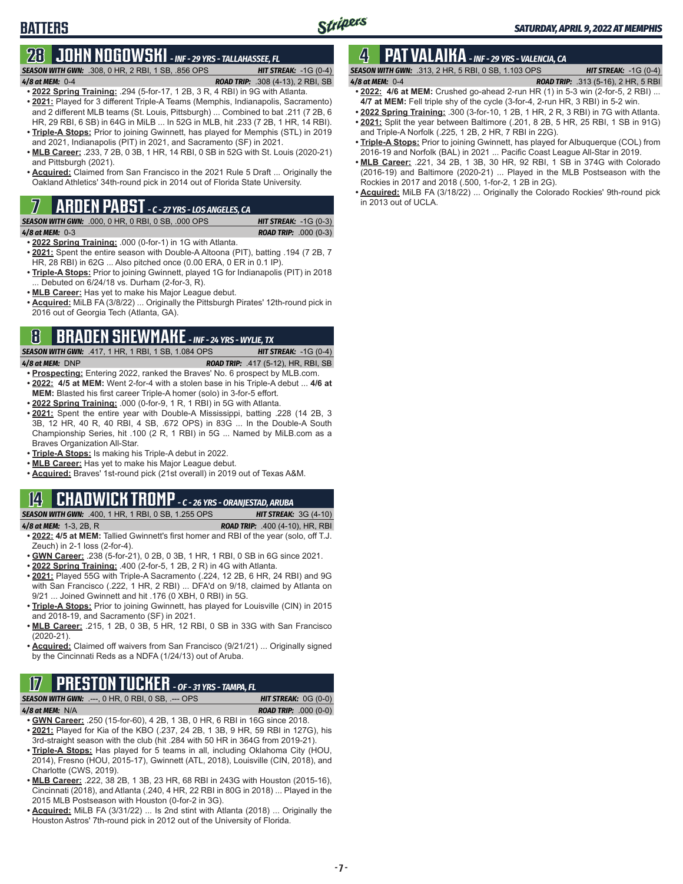## **BATTERS**

### **28 JOHN NOGOWSKI** *- INF - 29 YRS - TALLAHASSEE, FL*

*SEASON WITH GWN:*.308, 0 HR, 2 RBI, 1 SB, .856 OPS *HIT STREAK:* -1G (0-4) *4/8 at MEM:*0-4 *ROAD TRIP:* .308 (4-13), 2 RBI, SB

- **• 2022 Spring Training:** .294 (5-for-17, 1 2B, 3 R, 4 RBI) in 9G with Atlanta.
- **• 2021:** Played for 3 different Triple-A Teams (Memphis, Indianapolis, Sacramento) and 2 different MLB teams (St. Louis, Pittsburgh) ... Combined to bat .211 (7 2B, 6 HR, 29 RBI, 6 SB) in 64G in MiLB ... In 52G in MLB, hit .233 (7 2B, 1 HR, 14 RBI). **• Triple-A Stops:** Prior to joining Gwinnett, has played for Memphis (STL) in 2019
- and 2021, Indianapolis (PIT) in 2021, and Sacramento (SF) in 2021. **• MLB Career:** .233, 7 2B, 0 3B, 1 HR, 14 RBI, 0 SB in 52G with St. Louis (2020-21)
- and Pittsburgh (2021).
- **• Acquired:** Claimed from San Francisco in the 2021 Rule 5 Draft ... Originally the Oakland Athletics' 34th-round pick in 2014 out of Florida State University.

### **7 ARDEN PABST** *- C - 27 YRS - LOS ANGELES, CA*

*SEASON WITH GWN:*.000, 0 HR, 0 RBI, 0 SB, .000 OPS *HIT STREAK:* -1G (0-3)

*4/8 at MEM:*0-3 *ROAD TRIP:* .000 (0-3)

- **• 2022 Spring Training:** .000 (0-for-1) in 1G with Atlanta.
- **• 2021:** Spent the entire season with Double-A Altoona (PIT), batting .194 (7 2B, 7 HR, 28 RBI) in 62G ... Also pitched once (0.00 ERA, 0 ER in 0.1 IP).
- **• Triple-A Stops:** Prior to joining Gwinnett, played 1G for Indianapolis (PIT) in 2018 ... Debuted on 6/24/18 vs. Durham (2-for-3, R).
- **• MLB Career:** Has yet to make his Major League debut.
- **• Acquired:** MiLB FA (3/8/22) ... Originally the Pittsburgh Pirates' 12th-round pick in 2016 out of Georgia Tech (Atlanta, GA).

## **8 BRADEN SHEWMAKE** *- INF - 24 YRS - WYLIE, TX*

*SEASON WITH GWN:*.417, 1 HR, 1 RBI, 1 SB, 1.084 OPS *HIT STREAK:* -1G (0-4)

- *4/8 at MEM:*DNP *ROAD TRIP:* .417 (5-12), HR, RBI, SB
- **• Prospecting:** Entering 2022, ranked the Braves' No. 6 prospect by MLB.com. **• 2022: 4/5 at MEM:** Went 2-for-4 with a stolen base in his Triple-A debut ... **4/6 at MEM:** Blasted his first career Triple-A homer (solo) in 3-for-5 effort.
- **• 2022 Spring Training:** .000 (0-for-9, 1 R, 1 RBI) in 5G with Atlanta.
- **• 2021:** Spent the entire year with Double-A Mississippi, batting .228 (14 2B, 3 3B, 12 HR, 40 R, 40 RBI, 4 SB, .672 OPS) in 83G ... In the Double-A South Championship Series, hit .100 (2 R, 1 RBI) in 5G ... Named by MiLB.com as a Braves Organization All-Star.
- **• Triple-A Stops:** Is making his Triple-A debut in 2022.
- **• MLB Career:** Has yet to make his Major League debut.
- **• Acquired:** Braves' 1st-round pick (21st overall) in 2019 out of Texas A&M.

### **14 CHADWICK TROMP** *- C - 26 YRS - ORANJESTAD, ARUBA*

*SEASON WITH GWN:*.400, 1 HR, 1 RBI, 0 SB, 1.255 OPS *HIT STREAK:* 3G (4-10)

- *4/8 at MEM:*1-3, 2B, R *ROAD TRIP:* .400 (4-10), HR, RBI
- **• 2022: 4/5 at MEM:** Tallied Gwinnett's first homer and RBI of the year (solo, off T.J. Zeuch) in 2-1 loss (2-for-4).
- **• GWN Career:** .238 (5-for-21), 0 2B, 0 3B, 1 HR, 1 RBI, 0 SB in 6G since 2021.
- **• 2022 Spring Training:** .400 (2-for-5, 1 2B, 2 R) in 4G with Atlanta.
- **• 2021:** Played 55G with Triple-A Sacramento (.224, 12 2B, 6 HR, 24 RBI) and 9G with San Francisco (.222, 1 HR, 2 RBI) ... DFA'd on 9/18, claimed by Atlanta on 9/21 ... Joined Gwinnett and hit .176 (0 XBH, 0 RBI) in 5G.
- **• Triple-A Stops:** Prior to joining Gwinnett, has played for Louisville (CIN) in 2015 and 2018-19, and Sacramento (SF) in 2021.
- **• MLB Career:** .215, 1 2B, 0 3B, 5 HR, 12 RBI, 0 SB in 33G with San Francisco (2020-21).
- **• Acquired:** Claimed off waivers from San Francisco (9/21/21) ... Originally signed by the Cincinnati Reds as a NDFA (1/24/13) out of Aruba.

## **17 PRESTON TUCKER** *- OF - 31 YRS - TAMPA, FL*

| <u>II III III II IYYIIII OL JIING INGINIA IL</u>             |  |                                                                              |                               |
|--------------------------------------------------------------|--|------------------------------------------------------------------------------|-------------------------------|
| <b>SEASON WITH GWN:</b> $---$ , 0 HR, 0 RBI, 0 SB, $---$ OPS |  |                                                                              | <b>HIT STREAK:</b> $OG(0-0)$  |
| 4/8 at MEM: $N/A$                                            |  |                                                                              | <b>ROAD TRIP:</b> $.000(0-0)$ |
|                                                              |  | $\bullet$ GWN Caroor: 250 (15-for-60) 4.2R 1.3R 0.HR 6.RRI in 16G since 2018 |                               |

- **• GWN Career:** .250 (15-for-60), 4 2B, 1 3B, 0 HR, 6 RBI in 16G since 2018. **• 2021:** Played for Kia of the KBO (.237, 24 2B, 1 3B, 9 HR, 59 RBI in 127G), his 3rd-straight season with the club (hit .284 with 50 HR in 364G from 2019-21).
- **• Triple-A Stops:** Has played for 5 teams in all, including Oklahoma City (HOU, 2014), Fresno (HOU, 2015-17), Gwinnett (ATL, 2018), Louisville (CIN, 2018), and Charlotte (CWS, 2019).
- **• MLB Career:** .222, 38 2B, 1 3B, 23 HR, 68 RBI in 243G with Houston (2015-16), Cincinnati (2018), and Atlanta (.240, 4 HR, 22 RBI in 80G in 2018) ... Played in the 2015 MLB Postseason with Houston (0-for-2 in 3G).
- **• Acquired:** MiLB FA (3/31/22) ... Is 2nd stint with Atlanta (2018) ... Originally the Houston Astros' 7th-round pick in 2012 out of the University of Florida.

## **4 PAT VALAIKA** *- INF - 29 YRS - VALENCIA, CA*

- *SEASON WITH GWN:*.313, 2 HR, 5 RBI, 0 SB, 1.103 OPS *HIT STREAK:* -1G (0-4) *4/8 at MEM:*0-4 *ROAD TRIP:* .313 (5-16), 2 HR, 5 RBI **• 2022: 4/6 at MEM:** Crushed go-ahead 2-run HR (1) in 5-3 win (2-for-5, 2 RBI) ...
- **4/7 at MEM:** Fell triple shy of the cycle (3-for-4, 2-run HR, 3 RBI) in 5-2 win.
- **• 2022 Spring Training:** .300 (3-for-10, 1 2B, 1 HR, 2 R, 3 RBI) in 7G with Atlanta.
- **• 2021:** Split the year between Baltimore (.201, 8 2B, 5 HR, 25 RBI, 1 SB in 91G) and Triple-A Norfolk (.225, 1 2B, 2 HR, 7 RBI in 22G).
- **• Triple-A Stops:** Prior to joining Gwinnett, has played for Albuquerque (COL) from 2016-19 and Norfolk (BAL) in 2021 ... Pacific Coast League All-Star in 2019.
- **• MLB Career:** .221, 34 2B, 1 3B, 30 HR, 92 RBI, 1 SB in 374G with Colorado (2016-19) and Baltimore (2020-21) ... Played in the MLB Postseason with the Rockies in 2017 and 2018 (.500, 1-for-2, 1 2B in 2G).
- **• Acquired:** MiLB FA (3/18/22) ... Originally the Colorado Rockies' 9th-round pick in 2013 out of UCLA.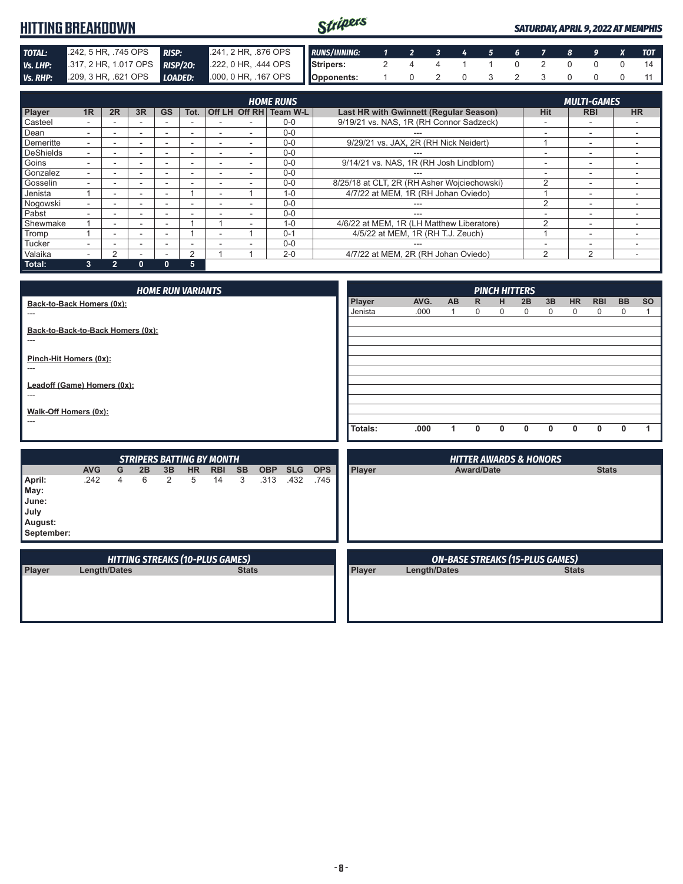#### Stripers **HITTING BREAKDOWN** *SATURDAY, APRIL 9, 2022 AT MEMPHIS* **TOTAL:** .242, 5 HR, .745 OPS *RISP:* .241, 2 HR, .876 OPS **Vs. LHP:** .317, 2 HR, 1.017 OPS *RISP***/20:** .222, 0 HR, .444 OPS *RUNS/INNING: 1 2 3 4 5 6 7 8 9 X TOT Vs. LHP:* .317, 2 HR, 1.017 OPS **RISP/20: Stripers:** 2 4 4 1 1 0 2 0 0 0 14 *Vs. RHP:* .209, 3 HR, .621 OPS *LOADED:* .000, 0 HR, .167 OPS **Opponents:** 1 0 2 0 3 2 3 0 0 0 11

| <b>HOME RUNS</b> |    |                |    |           |                          |                          |  |                        |                                             |                | <b>MULTI-GAMES</b>       |           |
|------------------|----|----------------|----|-----------|--------------------------|--------------------------|--|------------------------|---------------------------------------------|----------------|--------------------------|-----------|
| Player           | 1R | 2R             | 3R | <b>GS</b> | Tot.                     |                          |  | Off LH Off RH Team W-L | Last HR with Gwinnett (Regular Season)      | <b>Hit</b>     | <b>RBI</b>               | <b>HR</b> |
| Casteel          |    |                |    |           |                          |                          |  | $0-0$                  | 9/19/21 vs. NAS, 1R (RH Connor Sadzeck)     | -              | $\overline{\phantom{a}}$ |           |
| Dean             |    | ۰.             | ۰  | ۰         | $\overline{\phantom{a}}$ |                          |  | $0-0$                  |                                             | -              | $\overline{\phantom{a}}$ |           |
| <b>Demeritte</b> |    | -              | ۰  | ۰         | -                        |                          |  | $0 - 0$                | 9/29/21 vs. JAX, 2R (RH Nick Neidert)       |                | $\overline{\phantom{a}}$ |           |
| <b>DeShields</b> |    |                | -  | ۰         | -                        |                          |  | $0 - 0$                |                                             | -              | $\overline{\phantom{a}}$ |           |
| Goins            |    |                | -  |           | ۰                        |                          |  | $0 - 0$                | 9/14/21 vs. NAS, 1R (RH Josh Lindblom)      | ٠              | $\overline{\phantom{a}}$ |           |
| Gonzalez         |    |                | ۰  |           | ۰                        |                          |  | $0 - 0$                | ---                                         | ۰              | $\overline{\phantom{a}}$ |           |
| Gosselin         |    | -              | ۰  | -         | -                        | -                        |  | $0 - 0$                | 8/25/18 at CLT, 2R (RH Asher Wojciechowski) | 2              | $\overline{\phantom{0}}$ |           |
| Jenista          |    | -              |    | -         |                          | $\overline{\phantom{a}}$ |  | $1 - 0$                | 4/7/22 at MEM. 1R (RH Johan Oviedo)         |                | $\overline{\phantom{a}}$ |           |
| Nogowski         |    |                | -  |           |                          |                          |  | $0 - 0$                | ---                                         | 2              | ٠                        |           |
| Pabst            |    | -              | -  |           |                          |                          |  | $0 - 0$                | ---                                         | ۰              | $\overline{\phantom{a}}$ |           |
| Shewmake         |    | ۰.             | ۰  | ۰         |                          |                          |  | $1 - 0$                | 4/6/22 at MEM, 1R (LH Matthew Liberatore)   | $\mathfrak{p}$ | $\overline{\phantom{a}}$ |           |
| Tromp            |    |                | -  | -         |                          |                          |  | $0 - 1$                | 4/5/22 at MEM, 1R (RH T.J. Zeuch)           |                | -                        |           |
| Tucker           |    |                |    |           |                          |                          |  | $0 - 0$                |                                             | ۰              | -                        |           |
| Valaika          |    | 2              |    |           | 2                        |                          |  | $2 - 0$                | 4/7/22 at MEM, 2R (RH Johan Oviedo)         | 2              | 2                        |           |
| Total:           | 3  | $\overline{2}$ | 0  | 0         | 5                        |                          |  |                        |                                             |                |                          |           |

*PINCH HITTERS* **Player AVG. AB R H 2B 3B HR RBI BB SO** Jenista .000 1 0 0 0 0 0 0 0 1 **Totals: .000 1 0 0 0 0 0 0 0 1** *HOME RUN VARIANTS* **Back-to-Back Homers (0x):** --- **Back-to-Back-to-Back Homers (0x):** --- **Pinch-Hit Homers (0x):** --- **Leadoff (Game) Homers (0x):** --- **Walk-Off Homers (0x):** ---

|                                                          |                     |   | <b>STRIPERS BATTING BY MONTH</b>       |    |           |            |              |            |            |            |        | <b>HITTER AWARDS &amp; HONORS</b>      |              |
|----------------------------------------------------------|---------------------|---|----------------------------------------|----|-----------|------------|--------------|------------|------------|------------|--------|----------------------------------------|--------------|
|                                                          | <b>AVG</b>          | G | 2B                                     | 3B | <b>HR</b> | <b>RBI</b> | <b>SB</b>    | <b>OBP</b> | <b>SLG</b> | <b>OPS</b> | Player | <b>Award/Date</b>                      | <b>Stats</b> |
| April:<br>May:<br>June:<br>July<br>August:<br>September: | .242                | 4 | 6                                      | 2  | 5         | 14         | 3            | .313       | .432       | .745       |        |                                        |              |
|                                                          |                     |   | <b>HITTING STREAKS (10-PLUS GAMES)</b> |    |           |            |              |            |            |            |        | <b>ON-BASE STREAKS (15-PLUS GAMES)</b> |              |
| <b>Player</b>                                            | <b>Length/Dates</b> |   |                                        |    |           |            | <b>Stats</b> |            |            |            | Player | Length/Dates                           | <b>Stats</b> |
|                                                          |                     |   |                                        |    |           |            |              |            |            |            |        |                                        |              |

 $\mathcal{A}$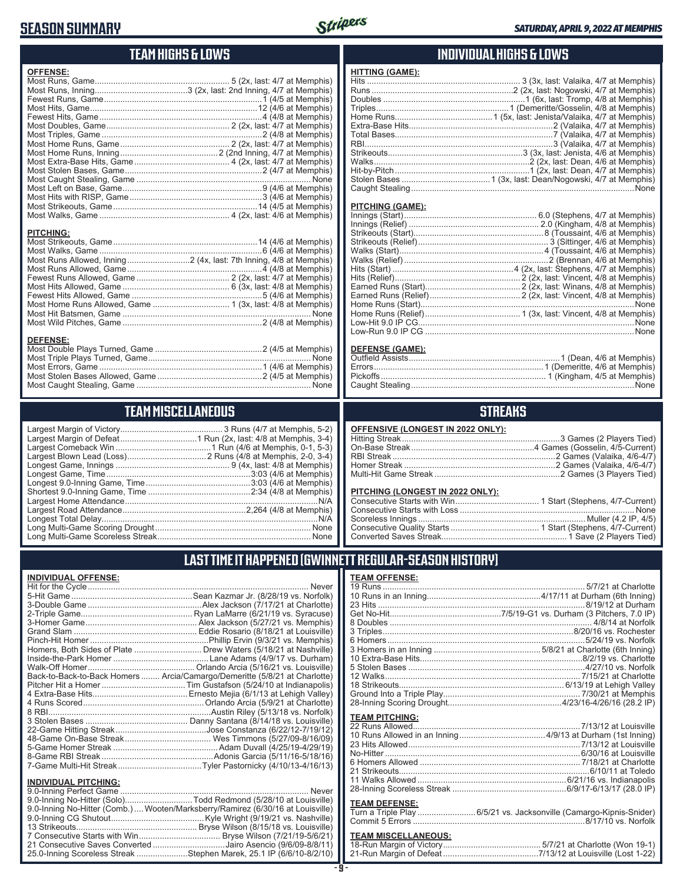## **SEASON SUMMARY**



### **TEAM HIGHS & LOWS**

| <b>OFFENSE:</b>  |  |
|------------------|--|
|                  |  |
|                  |  |
|                  |  |
|                  |  |
|                  |  |
|                  |  |
|                  |  |
|                  |  |
|                  |  |
|                  |  |
|                  |  |
|                  |  |
|                  |  |
|                  |  |
|                  |  |
|                  |  |
|                  |  |
|                  |  |
| <b>PITCHING:</b> |  |
|                  |  |
|                  |  |
|                  |  |
|                  |  |
|                  |  |
|                  |  |
|                  |  |
|                  |  |
|                  |  |
|                  |  |
|                  |  |
| <b>DEFENSE:</b>  |  |
|                  |  |
|                  |  |
|                  |  |

#### **TEAM MISCELLANEOUS**

Most Caught Stealing, Game ........................................................................... None

#### **INDIVIDUAL HIGHS & LOWS**

| <b>HITTING (GAME):</b> |        |
|------------------------|--------|
|                        |        |
|                        |        |
|                        |        |
|                        |        |
|                        |        |
|                        |        |
|                        |        |
|                        |        |
|                        |        |
|                        |        |
|                        |        |
|                        |        |
|                        | . None |

#### **PITCHING (GAME):**

| None |
|------|
|      |

#### **DEFENSE (GAME):**

### **STREAKS**

| <b>OFFENSIVE (LONGEST IN 2022 ONLY):</b> |  |
|------------------------------------------|--|
|                                          |  |
|                                          |  |
|                                          |  |
|                                          |  |

#### **PITCHING (LONGEST IN 2022 ONLY):**

| <u> 1101 MAO (LONOLO I IN 2022 ONE I J.</u> |  |
|---------------------------------------------|--|
|                                             |  |
|                                             |  |
|                                             |  |
|                                             |  |
|                                             |  |
|                                             |  |

19 Runs ....................................................................................... 5/7/21 at Charlotte 10 Runs in an Inning.................................................4/17/11 at Durham (6th Inning) 23 Hits .........................................................................................8/19/12 at Durham Get No-Hit................................................7/5/19-G1 vs. Durham (3 Pitchers, 7.0 IP) 8 Doubles ....................................................................................... 4/8/14 at Norfolk 3 Triples..................................................................................8/20/16 vs. Rochester 6 Homers.....................................................................................5/24/19 vs. Norfolk 3 Homers in an Inning ..............................................5/8/21 at Charlotte (6th Inning) 10 Extra-Base Hits......................................................................8/2/19 vs. Charlotte 5 Stolen Bases ............................................................................4/27/10 vs. Norfolk 12 Walks.................................................................................... 7/15/21 at Charlotte 18 Strikeouts....................................................................... 6/13/19 at Lehigh Valley Ground Into a Triple Play........................................................... 7/30/21 at Memphis 28-Inning Scoring Drought.................................................4/23/16-4/26/16 (28.2 IP)

Multi-Hit Game Streak ......................................................2 Games (3 Players Tied)

### **LAST TIME IT HAPPENED (GWINNETT REGULAR-SEASON HISTORY)**

**TEAM OFFENSE:**

**TEAM PITCHING:**

#### **INDIVIDUAL OFFENSE:**

|                             | Homers, Both Sides of Plate  Drew Waters (5/18/21 at Nashville)            |
|-----------------------------|----------------------------------------------------------------------------|
|                             |                                                                            |
|                             |                                                                            |
|                             | Back-to-Back-to-Back Homers  Arcia/Camargo/Demeritte (5/8/21 at Charlotte) |
|                             |                                                                            |
|                             |                                                                            |
|                             |                                                                            |
|                             |                                                                            |
|                             |                                                                            |
|                             |                                                                            |
|                             |                                                                            |
|                             |                                                                            |
|                             |                                                                            |
|                             |                                                                            |
| <b>INDIVIDUAL PITCHING:</b> |                                                                            |
|                             |                                                                            |

| 9.0-Inning No-Hitter (Solo)Todd Redmond (5/28/10 at Louisville)                |  |
|--------------------------------------------------------------------------------|--|
| 9.0-Inning No-Hitter (Comb.) Wooten/Marksberry/Ramirez (6/30/16 at Louisville) |  |
|                                                                                |  |
|                                                                                |  |
|                                                                                |  |
| 21 Consecutive Saves Converted Jairo Asencio (9/6/09-8/8/11)                   |  |
| 25.0-Inning Scoreless Streak Stephen Marek, 25.1 IP (6/6/10-8/2/10)            |  |

| <b>TEAM DEFENSE:</b> |  |
|----------------------|--|

22 Runs Allowed........................................................................7/13/12 at Louisville 10 Runs Allowed in an Inning .....................................4/9/13 at Durham (1st Inning) 23 Hits Allowed ..........................................................................7/13/12 at Louisville

| <b>TEAM DEFENSE:</b> |  |
|----------------------|--|
|                      |  |
|                      |  |

### **TEAM MISCELLANEOUS:**